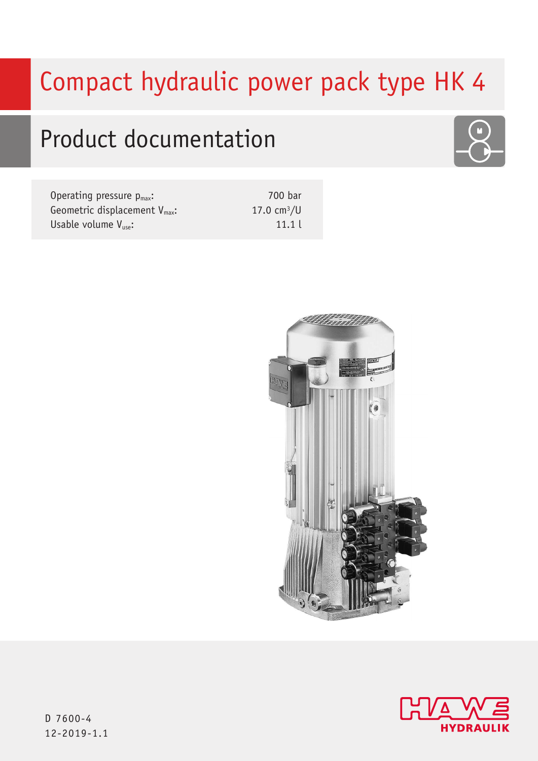# Compact hydraulic power pack type HK 4

# Product documentation

| Operating pressure $p_{max}$ :            | 700 bar       |
|-------------------------------------------|---------------|
| Geometric displacement $V_{\text{max}}$ : | 17.0 $cm^3/U$ |
| Usable volume $V_{use}:$                  | 11.1          |







D 7600-4 12-2019-1.1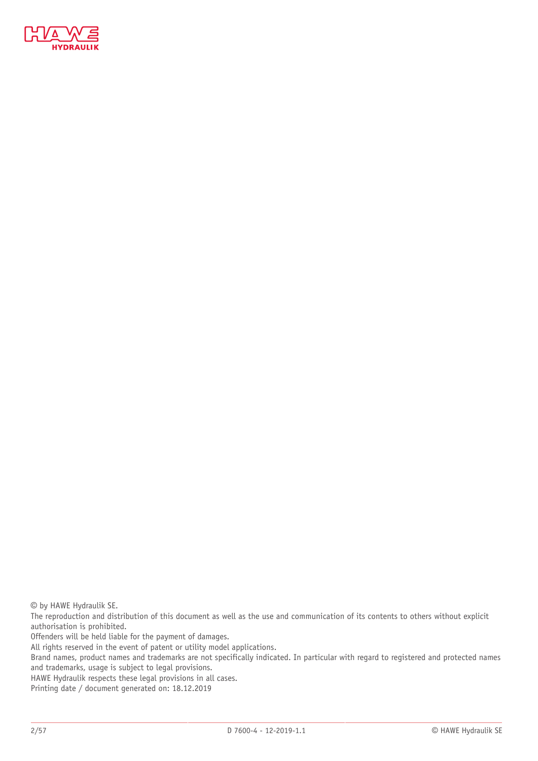

© by HAWE Hydraulik SE.

The reproduction and distribution of this document as well as the use and communication of its contents to others without explicit authorisation is prohibited.

Offenders will be held liable for the payment of damages.

All rights reserved in the event of patent or utility model applications.

Brand names, product names and trademarks are not specifically indicated. In particular with regard to registered and protected names and trademarks, usage is subject to legal provisions.

HAWE Hydraulik respects these legal provisions in all cases.

Printing date / document generated on: 18.12.2019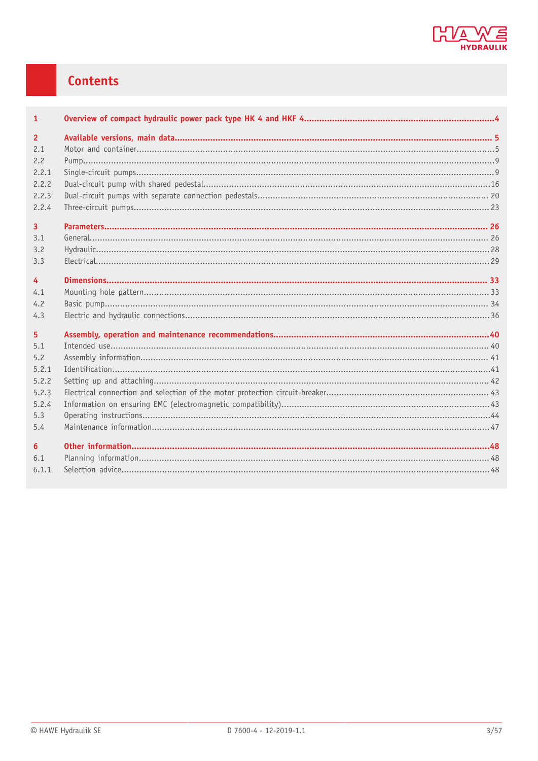

# Contents

| $\mathbf{1}$   |  |
|----------------|--|
| $\overline{2}$ |  |
| 2.1            |  |
| 2.2            |  |
| 2.2.1          |  |
| 2.2.2          |  |
| 2.2.3          |  |
| 2.2.4          |  |
| $\overline{3}$ |  |
| 3.1            |  |
| 3.2            |  |
| 3.3            |  |
| $\overline{4}$ |  |
| 4.1            |  |
| 4.2            |  |
| 4.3            |  |
| 5              |  |
| 5.1            |  |
| 5.2            |  |
| 5.2.1          |  |
| 5.2.2          |  |
| 5.2.3          |  |
| 5.2.4          |  |
| 5.3            |  |
| 5.4            |  |
| 6              |  |
| 6.1            |  |
| 6.1.1          |  |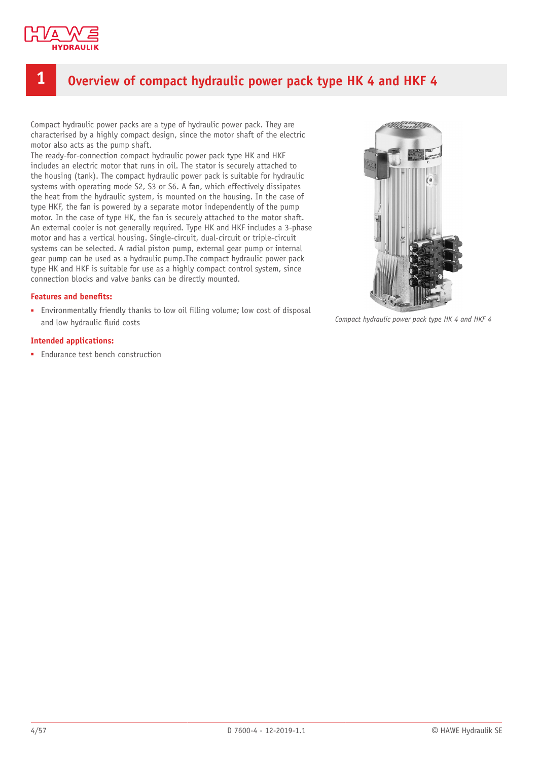

# <span id="page-3-0"></span>**1 Overview of compact hydraulic power pack type HK 4 and HKF 4**

Compact hydraulic power packs are a type of hydraulic power pack. They are characterised by a highly compact design, since the motor shaft of the electric motor also acts as the pump shaft.

The ready-for-connection compact hydraulic power pack type HK and HKF includes an electric motor that runs in oil. The stator is securely attached to the housing (tank). The compact hydraulic power pack is suitable for hydraulic systems with operating mode S2, S3 or S6. A fan, which effectively dissipates the heat from the hydraulic system, is mounted on the housing. In the case of type HKF, the fan is powered by a separate motor independently of the pump motor. In the case of type HK, the fan is securely attached to the motor shaft. An external cooler is not generally required. Type HK and HKF includes a 3-phase motor and has a vertical housing. Single-circuit, dual-circuit or triple-circuit systems can be selected. A radial piston pump, external gear pump or internal gear pump can be used as a hydraulic pump.The compact hydraulic power pack type HK and HKF is suitable for use as a highly compact control system, since connection blocks and valve banks can be directly mounted.

#### **Features and benets:**

■ Environmentally friendly thanks to low oil filling volume; low cost of disposal and low hydraulic fluid costs

#### **Intended applications:**

■ Endurance test bench construction



*Compact hydraulic power pack type HK 4 and HKF 4*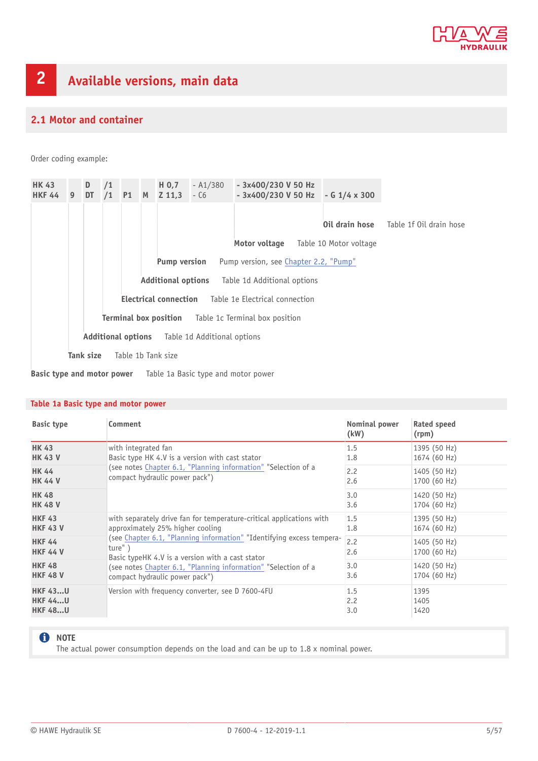

### <span id="page-4-1"></span><span id="page-4-0"></span>**2.1 Motor and container**

Order coding example:

| <b>HK 43</b><br>HKF 44 9 DT /1 P1 M Z 11,3 - C6 |                                                             | D / 1     |                                                       |                                                              |  | $H$ 0,7            | $- A1/380$ | - 3x400/230 V 50 Hz<br>$-3x400/230$ V 50 Hz $-61/4 \times 300$ |  |                        |                         |  |  |
|-------------------------------------------------|-------------------------------------------------------------|-----------|-------------------------------------------------------|--------------------------------------------------------------|--|--------------------|------------|----------------------------------------------------------------|--|------------------------|-------------------------|--|--|
|                                                 |                                                             |           |                                                       |                                                              |  |                    |            |                                                                |  | Oil drain hose         | Table 1f Oil drain hose |  |  |
|                                                 |                                                             |           |                                                       |                                                              |  |                    |            | Motor voltage                                                  |  | Table 10 Motor voltage |                         |  |  |
|                                                 |                                                             |           |                                                       | <b>Pump version</b><br>Pump version, see Chapter 2.2, "Pump" |  |                    |            |                                                                |  |                        |                         |  |  |
|                                                 |                                                             |           | <b>Additional options</b> Table 1d Additional options |                                                              |  |                    |            |                                                                |  |                        |                         |  |  |
|                                                 | <b>Electrical connection</b> Table 1e Electrical connection |           |                                                       |                                                              |  |                    |            |                                                                |  |                        |                         |  |  |
|                                                 | <b>Terminal box position</b> Table 1c Terminal box position |           |                                                       |                                                              |  |                    |            |                                                                |  |                        |                         |  |  |
|                                                 | <b>Additional options</b> Table 1d Additional options       |           |                                                       |                                                              |  |                    |            |                                                                |  |                        |                         |  |  |
|                                                 |                                                             | Tank size |                                                       |                                                              |  | Table 1b Tank size |            |                                                                |  |                        |                         |  |  |

**Basic type and motor power** Table 1a Basic type and motor power

### **Table 1a Basic type and motor power**

| <b>Basic type</b>                | Comment                                                                                                                             | Nominal power<br>(kW) | Rated speed<br>(rpm)         |
|----------------------------------|-------------------------------------------------------------------------------------------------------------------------------------|-----------------------|------------------------------|
| <b>HK 43</b>                     | with integrated fan                                                                                                                 | 1.5                   | 1395 (50 Hz)                 |
| <b>HK 43 V</b>                   | Basic type HK 4.V is a version with cast stator                                                                                     | 1.8                   | 1674 (60 Hz)                 |
| <b>HK 44</b>                     | (see notes Chapter 6.1, "Planning information" "Selection of a                                                                      | 2.2                   | 1405 (50 Hz)                 |
| <b>HK 44 V</b>                   | compact hydraulic power pack")                                                                                                      | 2.6                   | 1700 (60 Hz)                 |
| <b>HK 48</b>                     |                                                                                                                                     | 3.0                   | 1420 (50 Hz)                 |
| <b>HK 48 V</b>                   |                                                                                                                                     | 3.6                   | 1704 (60 Hz)                 |
| <b>HKF 43</b>                    | with separately drive fan for temperature-critical applications with                                                                | 1.5                   | 1395 (50 Hz)                 |
| <b>HKF 43 V</b>                  | approximately 25% higher cooling                                                                                                    | 1.8                   | 1674 (60 Hz)                 |
| <b>HKF 44</b><br><b>HKF 44 V</b> | (see Chapter 6.1, "Planning information" "Identifying excess tempera-<br>ture")<br>Basic typeHK 4.V is a version with a cast stator | 2.2<br>2.6            | 1405 (50 Hz)<br>1700 (60 Hz) |
| <b>HKF 48</b>                    | (see notes Chapter 6.1, "Planning information" "Selection of a                                                                      | 3.0                   | 1420 (50 Hz)                 |
| <b>HKF 48 V</b>                  | compact hydraulic power pack")                                                                                                      | 3.6                   | 1704 (60 Hz)                 |
| <b>HKF 43U</b>                   | Version with frequency converter, see D 7600-4FU                                                                                    | 1.5                   | 1395                         |
| <b>HKF 44U</b>                   |                                                                                                                                     | 2.2                   | 1405                         |
| <b>HKF 48U</b>                   |                                                                                                                                     | 3.0                   | 1420                         |

### **O** NOTE

The actual power consumption depends on the load and can be up to 1.8 x nominal power.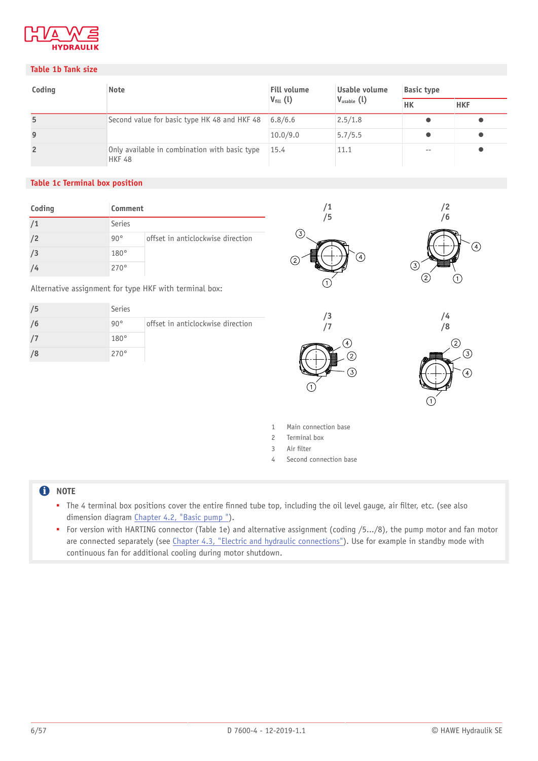

### **Table 1b Tank size**

| Coding         | <b>Note</b>                                                    | <b>Fill volume</b>   | Usable volume          | <b>Basic type</b> |            |  |
|----------------|----------------------------------------------------------------|----------------------|------------------------|-------------------|------------|--|
|                |                                                                | $V_{\text{fill}}(l)$ | $V_{\text{usable}}(l)$ | <b>HK</b>         | <b>HKF</b> |  |
| 5              | Second value for basic type HK 48 and HKF 48                   | 6.8/6.6              | 2.5/1.8                |                   |            |  |
| 9              |                                                                | 10.0/9.0             | 5.7/5.5                |                   |            |  |
| $\overline{2}$ | Only available in combination with basic type<br><b>HKF 48</b> | 15.4                 | 11.1                   | $ -$              |            |  |

### **Table 1c Terminal box position**

| Coding | Comment      |                                   |
|--------|--------------|-----------------------------------|
| /1     | Series       |                                   |
| /2     | $90^{\circ}$ | offset in anticlockwise direction |
| /3     | $180^\circ$  |                                   |
|        | 270°         |                                   |

Alternative assignment for type HKF with terminal box:

| 75 | Series       |                                   |
|----|--------------|-----------------------------------|
| /6 | $90^{\circ}$ | offset in anticlockwise direction |
|    | $180^\circ$  |                                   |
|    | $270^\circ$  |                                   |









- 1 Main connection base
- 2 Terminal box
- 3 Air filter
- 4 Second connection base

### **O** NOTE

- The 4 terminal box positions cover the entire finned tube top, including the oil level gauge, air filter, etc. (see also dimension diagram [Chapter 4.2,](#page-33-0) "Basic pump ").
- For version with HARTING connector (Table 1e) and alternative assignment (coding /5.../8), the pump motor and fan motor are connected separately (see *Chapter 4.3, "Electric and hydraulic connections"*). Use for example in standby mode with continuous fan for additional cooling during motor shutdown.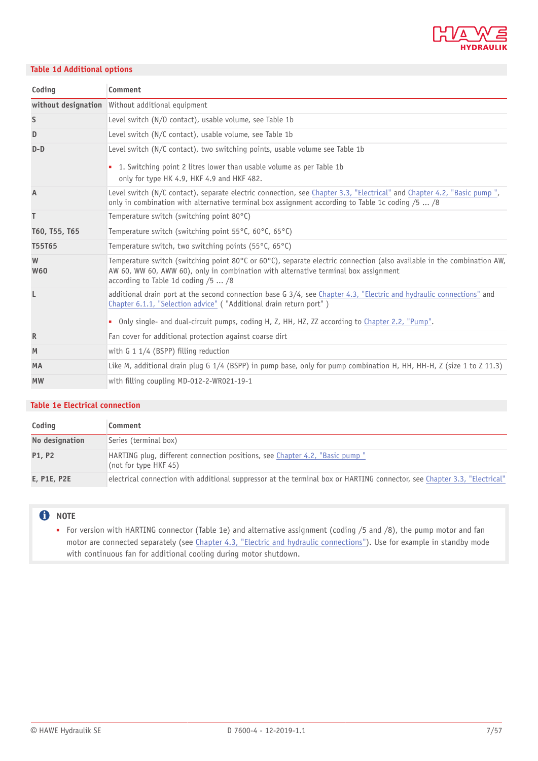

### **Table 1d Additional options**

| Coding          | Comment                                                                                                                                                                                                                                                                                        |
|-----------------|------------------------------------------------------------------------------------------------------------------------------------------------------------------------------------------------------------------------------------------------------------------------------------------------|
|                 | without designation Without additional equipment                                                                                                                                                                                                                                               |
| S               | Level switch (N/O contact), usable volume, see Table 1b                                                                                                                                                                                                                                        |
| D               | Level switch (N/C contact), usable volume, see Table 1b                                                                                                                                                                                                                                        |
| $D-D$           | Level switch (N/C contact), two switching points, usable volume see Table 1b<br>1. Switching point 2 litres lower than usable volume as per Table 1b<br>only for type HK 4.9, HKF 4.9 and HKF 482.                                                                                             |
| A               | Level switch (N/C contact), separate electric connection, see Chapter 3.3, "Electrical" and Chapter 4.2, "Basic pump",<br>only in combination with alternative terminal box assignment according to Table 1c coding $/5/8$                                                                     |
| T               | Temperature switch (switching point 80°C)                                                                                                                                                                                                                                                      |
| T60, T55, T65   | Temperature switch (switching point 55°C, 60°C, 65°C)                                                                                                                                                                                                                                          |
| T55T65          | Temperature switch, two switching points (55°C, 65°C)                                                                                                                                                                                                                                          |
| W<br><b>W60</b> | Temperature switch (switching point 80°C or 60°C), separate electric connection (also available in the combination AW,<br>AW 60, WW 60, AWW 60), only in combination with alternative terminal box assignment<br>according to Table 1d coding /5  /8                                           |
| L               | additional drain port at the second connection base G 3/4, see Chapter 4.3, "Electric and hydraulic connections" and<br>Chapter 6.1.1, "Selection advice" ("Additional drain return port")<br>• Only single- and dual-circuit pumps, coding H, Z, HH, HZ, ZZ according to Chapter 2.2, "Pump". |
| R               | Fan cover for additional protection against coarse dirt                                                                                                                                                                                                                                        |
| M               | with $G$ 1 1/4 (BSPP) filling reduction                                                                                                                                                                                                                                                        |
| <b>MA</b>       | Like M, additional drain plug G 1/4 (BSPP) in pump base, only for pump combination H, HH, HH-H, Z (size 1 to Z 11.3)                                                                                                                                                                           |
| <b>MW</b>       | with filling coupling MD-012-2-WR021-19-1                                                                                                                                                                                                                                                      |

#### **Table 1e Electrical connection**

| Coding         | Comment                                                                                                                  |
|----------------|--------------------------------------------------------------------------------------------------------------------------|
| No designation | Series (terminal box)                                                                                                    |
| <b>P1, P2</b>  | HARTING plug, different connection positions, see Chapter 4.2, "Basic pump"<br>(not for type HKF 45)                     |
| E, P1E, P2E    | electrical connection with additional suppressor at the terminal box or HARTING connector, see Chapter 3.3, "Electrical" |

### **O** NOTE

■ For version with HARTING connector (Table 1e) and alternative assignment (coding /5 and /8), the pump motor and fan motor are connected separately (see Chapter 4.3, "Electric and hydraulic [connections"](#page-35-0)). Use for example in standby mode with continuous fan for additional cooling during motor shutdown.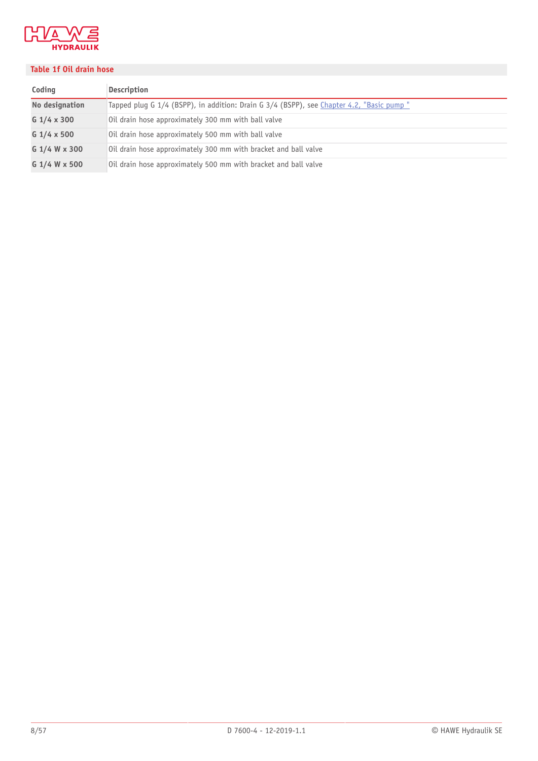

### **Table 1f Oil drain hose**

| Coding         | <b>Description</b>                                                                        |
|----------------|-------------------------------------------------------------------------------------------|
| No designation | Tapped plug G 1/4 (BSPP), in addition: Drain G 3/4 (BSPP), see Chapter 4.2, "Basic pump " |
| $G$ 1/4 x 300  | Oil drain hose approximately 300 mm with ball valve                                       |
| $G$ 1/4 x 500  | Oil drain hose approximately 500 mm with ball valve                                       |
| G 1/4 W x 300  | Oil drain hose approximately 300 mm with bracket and ball valve                           |
| G 1/4 W x 500  | Oil drain hose approximately 500 mm with bracket and ball valve                           |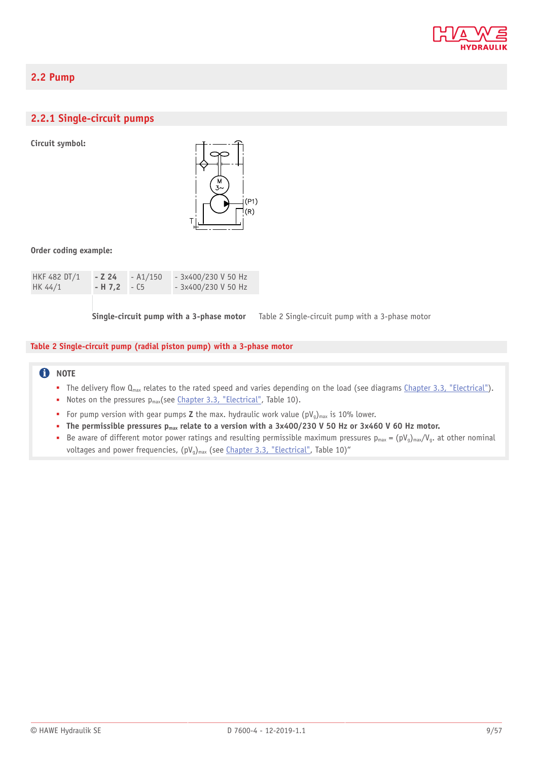

### <span id="page-8-0"></span>**2.2 Pump**

### <span id="page-8-1"></span>**2.2.1 Single-circuit pumps**

**Circuit symbol:**



#### **Order coding example:**

| HKF 482 DT/1 | - Z 24        | - A1/150 | $-3x400/230$ V 50 Hz  |
|--------------|---------------|----------|-----------------------|
| HK 44/1      | $-H 7.2 - C5$ |          | $-$ 3x400/230 V 50 Hz |

**Single-circuit pump with a 3-phase motor** Table 2 Single-circuit pump with a 3-phase motor

#### **Table 2 Single-circuit pump (radial piston pump) with a 3-phase motor**

### **f** NOTE

- $\blacksquare$  The delivery flow  $Q_{\text{max}}$  relates to the rated speed and varies depending on the load (see diagrams [Chapter 3.3, "Electrical"](#page-28-0)).
- Notes on the pressures p<sub>max</sub>(see [Chapter 3.3, "Electrical"](#page-28-0), Table 10).
- For pump version with gear pumps **Z** the max. hydraulic work value (pV<sub>g</sub>)<sub>max</sub> is 10% lower.
- The permissible pressures  $p_{max}$  relate to a version with a 3x400/230 V 50 Hz or 3x460 V 60 Hz motor.
- Be aware of different motor power ratings and resulting permissible maximum pressures  $p_{max} = (pV_g)_{max}/V_g$ . at other nominal voltages and power frequencies,  $(pV_q)_{max}$  (see [Chapter 3.3, "Electrical"](#page-28-0), Table 10)"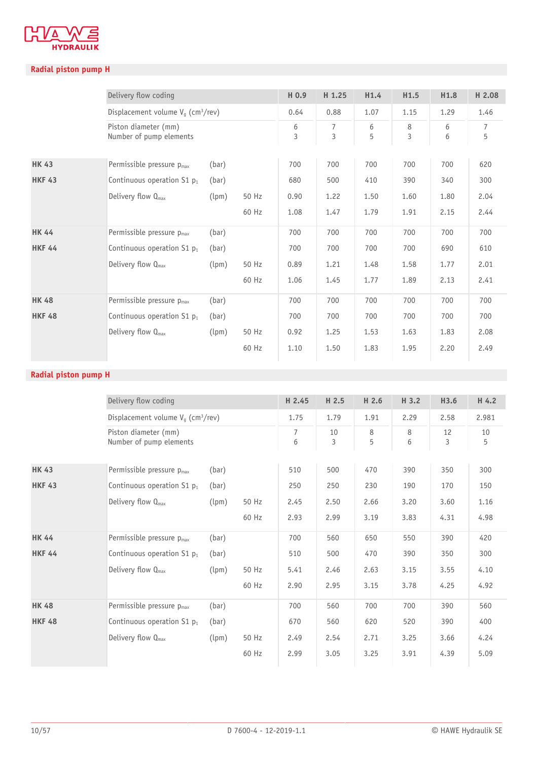

### **Radial piston pump H**

|               | Delivery flow coding                             |       |       | H 0.9  | H 1.25 | H1.4   | H1.5   | H1.8   | H 2.08              |
|---------------|--------------------------------------------------|-------|-------|--------|--------|--------|--------|--------|---------------------|
|               | Displacement volume $V_q$ (cm <sup>3</sup> /rev) |       |       | 0.64   | 0.88   | 1.07   | 1.15   | 1.29   | 1.46                |
|               | Piston diameter (mm)<br>Number of pump elements  |       |       | 6<br>3 | 7<br>3 | 6<br>5 | 8<br>3 | 6<br>6 | $\overline{7}$<br>5 |
| <b>HK 43</b>  | Permissible pressure $p_{max}$                   | (bar) |       | 700    | 700    | 700    | 700    | 700    | 620                 |
| <b>HKF 43</b> | Continuous operation $S1$ $p_1$                  | (bar) |       | 680    | 500    | 410    | 390    | 340    | 300                 |
|               | Delivery flow Q <sub>max</sub>                   | (lpm) | 50 Hz | 0.90   | 1.22   | 1.50   | 1.60   | 1.80   | 2.04                |
|               |                                                  |       | 60 Hz | 1.08   | 1.47   | 1.79   | 1.91   | 2.15   | 2.44                |
| <b>HK 44</b>  | Permissible pressure p <sub>max</sub>            | (bar) |       | 700    | 700    | 700    | 700    | 700    | 700                 |
| <b>HKF 44</b> | Continuous operation $S1$ $p_1$                  | (bar) |       | 700    | 700    | 700    | 700    | 690    | 610                 |
|               | Delivery flow $Q_{\text{max}}$                   | (lpm) | 50 Hz | 0.89   | 1.21   | 1.48   | 1.58   | 1.77   | 2.01                |
|               |                                                  |       | 60 Hz | 1.06   | 1.45   | 1.77   | 1.89   | 2.13   | 2.41                |
| <b>HK 48</b>  | Permissible pressure p <sub>max</sub>            | (bar) |       | 700    | 700    | 700    | 700    | 700    | 700                 |
| <b>HKF 48</b> | Continuous operation $S1$ $p_1$                  | (bar) |       | 700    | 700    | 700    | 700    | 700    | 700                 |
|               | Delivery flow $Q_{\text{max}}$                   | (lpm) | 50 Hz | 0.92   | 1.25   | 1.53   | 1.63   | 1.83   | 2.08                |
|               |                                                  |       | 60 Hz | 1.10   | 1.50   | 1.83   | 1.95   | 2.20   | 2.49                |
|               |                                                  |       |       |        |        |        |        |        |                     |

|               | Delivery flow coding                             |       |       | H 2.45              | H 2.5   | H 2.6  | H 3.2  | H3.6    | H 4.2   |
|---------------|--------------------------------------------------|-------|-------|---------------------|---------|--------|--------|---------|---------|
|               | Displacement volume $V_q$ (cm <sup>3</sup> /rev) |       |       | 1.75                | 1.79    | 1.91   | 2.29   | 2.58    | 2.981   |
|               | Piston diameter (mm)<br>Number of pump elements  |       |       | $\overline{7}$<br>6 | 10<br>3 | 8<br>5 | 8<br>6 | 12<br>3 | 10<br>5 |
| <b>HK 43</b>  | Permissible pressure p <sub>max</sub>            | (bar) |       | 510                 | 500     | 470    | 390    | 350     | 300     |
| <b>HKF 43</b> | Continuous operation $S1$ $p_1$                  | (bar) |       | 250                 | 250     | 230    | 190    | 170     | 150     |
|               | Delivery flow $Q_{\text{max}}$                   | (lpm) | 50 Hz | 2.45                | 2.50    | 2.66   | 3.20   | 3.60    | 1.16    |
|               |                                                  |       | 60 Hz | 2.93                | 2.99    | 3.19   | 3.83   | 4.31    | 4.98    |
| <b>HK 44</b>  | Permissible pressure p <sub>max</sub>            | (bar) |       | 700                 | 560     | 650    | 550    | 390     | 420     |
| <b>HKF 44</b> | Continuous operation S1 p <sub>1</sub>           | (bar) |       | 510                 | 500     | 470    | 390    | 350     | 300     |
|               | Delivery flow $Q_{\text{max}}$                   | (lpm) | 50 Hz | 5.41                | 2.46    | 2.63   | 3.15   | 3.55    | 4.10    |
|               |                                                  |       | 60 Hz | 2.90                | 2.95    | 3.15   | 3.78   | 4.25    | 4.92    |
| <b>HK 48</b>  | Permissible pressure p <sub>max</sub>            | (bar) |       | 700                 | 560     | 700    | 700    | 390     | 560     |
| <b>HKF 48</b> | Continuous operation $S1$ $p_1$                  | (bar) |       | 670                 | 560     | 620    | 520    | 390     | 400     |
|               | Delivery flow Q <sub>max</sub>                   | (lpm) | 50 Hz | 2.49                | 2.54    | 2.71   | 3.25   | 3.66    | 4.24    |
|               |                                                  |       | 60 Hz | 2.99                | 3.05    | 3.25   | 3.91   | 4.39    | 5.09    |
|               |                                                  |       |       |                     |         |        |        |         |         |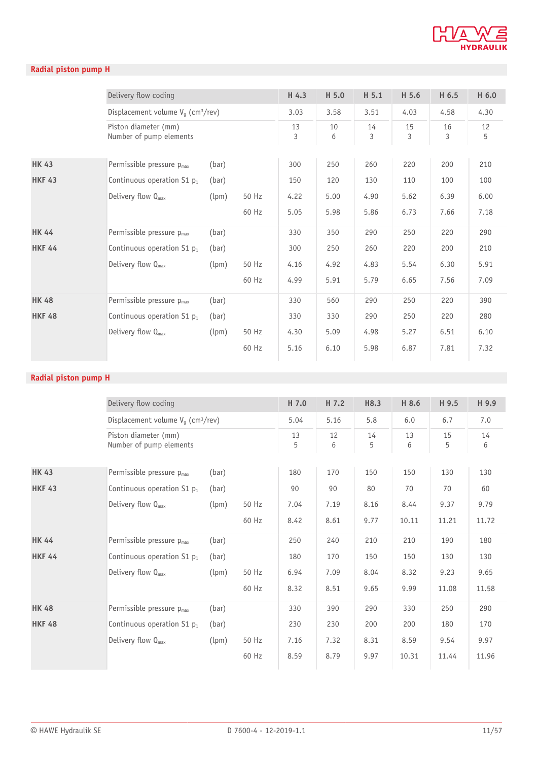

### **Radial piston pump H**

|               | Delivery flow coding                             |       |       | H 4.3   | H 5.0   | H 5.1   | H 5.6   | H 6.5   | H 6.0   |
|---------------|--------------------------------------------------|-------|-------|---------|---------|---------|---------|---------|---------|
|               | Displacement volume $V_q$ (cm <sup>3</sup> /rev) |       |       | 3.03    | 3.58    | 3.51    | 4.03    | 4.58    | 4.30    |
|               | Piston diameter (mm)<br>Number of pump elements  |       |       | 13<br>3 | 10<br>6 | 14<br>3 | 15<br>3 | 16<br>3 | 12<br>5 |
| <b>HK 43</b>  | Permissible pressure $p_{max}$                   | (bar) |       | 300     | 250     | 260     | 220     | 200     | 210     |
| <b>HKF 43</b> | Continuous operation $S1$ $p_1$                  | (bar) |       | 150     | 120     | 130     | 110     | 100     | 100     |
|               | Delivery flow $Q_{\text{max}}$                   | (lpm) | 50 Hz | 4.22    | 5.00    | 4.90    | 5.62    | 6.39    | 6.00    |
|               |                                                  |       | 60 Hz | 5.05    | 5.98    | 5.86    | 6.73    | 7.66    | 7.18    |
| <b>HK 44</b>  | Permissible pressure p <sub>max</sub>            | (bar) |       | 330     | 350     | 290     | 250     | 220     | 290     |
| <b>HKF 44</b> | Continuous operation $S1$ $p_1$                  | (bar) |       | 300     | 250     | 260     | 220     | 200     | 210     |
|               | Delivery flow $Q_{max}$                          | (lpm) | 50 Hz | 4.16    | 4.92    | 4.83    | 5.54    | 6.30    | 5.91    |
|               |                                                  |       | 60 Hz | 4.99    | 5.91    | 5.79    | 6.65    | 7.56    | 7.09    |
| <b>HK 48</b>  | Permissible pressure $p_{max}$                   | (bar) |       | 330     | 560     | 290     | 250     | 220     | 390     |
| <b>HKF 48</b> | Continuous operation $S1$ $p_1$                  | (bar) |       | 330     | 330     | 290     | 250     | 220     | 280     |
|               | Delivery flow $Q_{\text{max}}$                   | (lpm) | 50 Hz | 4.30    | 5.09    | 4.98    | 5.27    | 6.51    | 6.10    |
|               |                                                  |       | 60 Hz | 5.16    | 6.10    | 5.98    | 6.87    | 7.81    | 7.32    |
|               |                                                  |       |       |         |         |         |         |         |         |

|               | Delivery flow coding                             |       |       | H 7.0   | H 7.2   | H8.3    | H 8.6   | H 9.5   | H 9.9   |
|---------------|--------------------------------------------------|-------|-------|---------|---------|---------|---------|---------|---------|
|               | Displacement volume $V_g$ (cm <sup>3</sup> /rev) |       |       | 5.04    | 5.16    | 5.8     | 6.0     | 6.7     | 7.0     |
|               | Piston diameter (mm)<br>Number of pump elements  |       |       | 13<br>5 | 12<br>6 | 14<br>5 | 13<br>6 | 15<br>5 | 14<br>6 |
| <b>HK 43</b>  | Permissible pressure $p_{max}$                   | (bar) |       | 180     | 170     | 150     | 150     | 130     | 130     |
| <b>HKF 43</b> | Continuous operation $S1$ $p_1$                  | (bar) |       | 90      | 90      | 80      | 70      | 70      | 60      |
|               | Delivery flow $Q_{\text{max}}$                   | (lpm) | 50 Hz | 7.04    | 7.19    | 8.16    | 8.44    | 9.37    | 9.79    |
|               |                                                  |       | 60 Hz | 8.42    | 8.61    | 9.77    | 10.11   | 11.21   | 11.72   |
| <b>HK 44</b>  | Permissible pressure p <sub>max</sub>            | (bar) |       | 250     | 240     | 210     | 210     | 190     | 180     |
| <b>HKF 44</b> | Continuous operation $S1$ $p_1$                  | (bar) |       | 180     | 170     | 150     | 150     | 130     | 130     |
|               | Delivery flow $Q_{\text{max}}$                   | (lpm) | 50 Hz | 6.94    | 7.09    | 8.04    | 8.32    | 9.23    | 9.65    |
|               |                                                  |       | 60 Hz | 8.32    | 8.51    | 9.65    | 9.99    | 11.08   | 11.58   |
| <b>HK 48</b>  | Permissible pressure $p_{max}$                   | (bar) |       | 330     | 390     | 290     | 330     | 250     | 290     |
| <b>HKF 48</b> | Continuous operation $S1$ $p_1$                  | (bar) |       | 230     | 230     | 200     | 200     | 180     | 170     |
|               | Delivery flow $Q_{\text{max}}$                   | (lpm) | 50 Hz | 7.16    | 7.32    | 8.31    | 8.59    | 9.54    | 9.97    |
|               |                                                  |       | 60 Hz | 8.59    | 8.79    | 9.97    | 10.31   | 11.44   | 11.96   |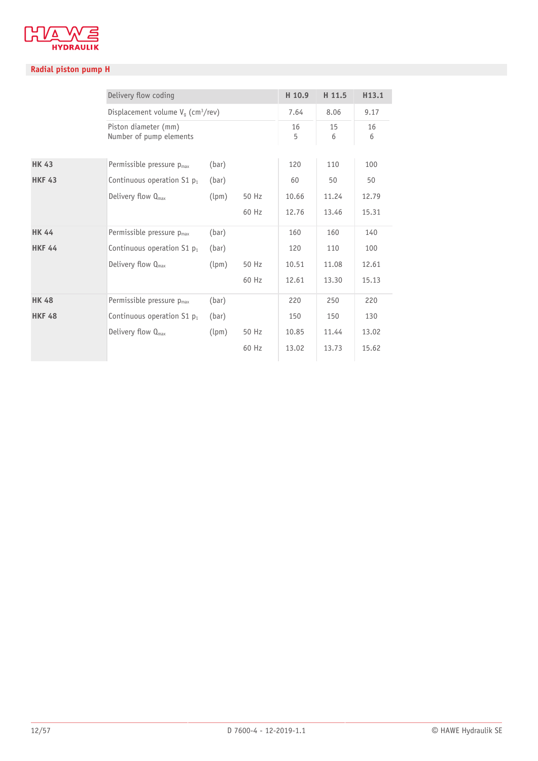

|               | Delivery flow coding                             |       |       | H 10.9  | H 11.5  | H <sub>13.1</sub> |
|---------------|--------------------------------------------------|-------|-------|---------|---------|-------------------|
|               | Displacement volume $V_q$ (cm <sup>3</sup> /rev) |       |       | 7.64    | 8.06    | 9.17              |
|               | Piston diameter (mm)<br>Number of pump elements  |       |       | 16<br>5 | 15<br>6 | 16<br>6           |
| <b>HK 43</b>  | Permissible pressure $p_{max}$                   | (bar) |       | 120     | 110     | 100               |
| <b>HKF 43</b> | Continuous operation $S1$ $p_1$                  | (bar) |       | 60      | 50      | 50                |
|               | Delivery flow $Q_{\text{max}}$                   | (lpm) | 50 Hz | 10.66   | 11.24   | 12.79             |
|               |                                                  |       | 60 Hz | 12.76   | 13.46   | 15.31             |
| <b>HK 44</b>  | Permissible pressure $p_{max}$                   | (bar) |       | 160     | 160     | 140               |
| <b>HKF 44</b> | Continuous operation $S1$ $p_1$                  | (bar) |       | 120     | 110     | 100               |
|               | Delivery flow $Q_{\text{max}}$                   | (lpm) | 50 Hz | 10.51   | 11.08   | 12.61             |
|               |                                                  |       | 60 Hz | 12.61   | 13.30   | 15.13             |
| <b>HK 48</b>  | Permissible pressure p <sub>max</sub>            | (bar) |       | 220     | 250     | 220               |
| <b>HKF 48</b> | Continuous operation S1 $p_1$                    | (bar) |       | 150     | 150     | 130               |
|               | Delivery flow $Q_{\text{max}}$                   | (lpm) | 50 Hz | 10.85   | 11.44   | 13.02             |
|               |                                                  |       | 60 Hz | 13.02   | 13.73   | 15.62             |
|               |                                                  |       |       |         |         |                   |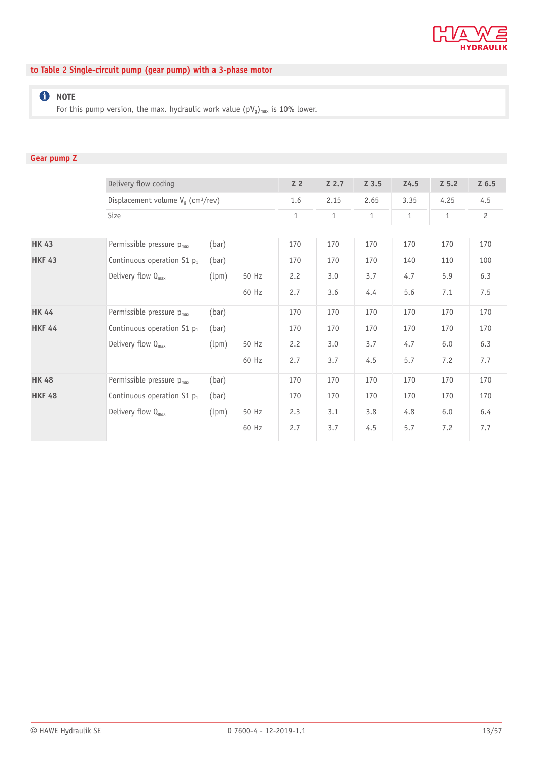

### **to Table 2 Single-circuit pump (gear pump) with a 3-phase motor**

### **O** NOTE

For this pump version, the max. hydraulic work value  $(pV_g)_{max}$  is 10% lower.

### **Gear pump Z**

|               | Delivery flow coding                             |       |       | Z <sub>2</sub> | $Z$ 2.7      | $Z$ 3.5      | Z <sub>4.5</sub> | $Z$ 5.2      | $Z$ 6.5        |
|---------------|--------------------------------------------------|-------|-------|----------------|--------------|--------------|------------------|--------------|----------------|
|               | Displacement volume $V_q$ (cm <sup>3</sup> /rev) |       |       | 1.6            | 2.15         | 2.65         | 3.35             | 4.25         | 4.5            |
|               | Size                                             |       |       | $\mathbf{1}$   | $\mathbf{1}$ | $\mathbf{1}$ | $\mathbf{1}$     | $\mathbf{1}$ | $\overline{c}$ |
|               |                                                  |       |       |                |              |              |                  |              |                |
| <b>HK 43</b>  | Permissible pressure p <sub>max</sub>            | (bar) |       | 170            | 170          | 170          | 170              | 170          | 170            |
| <b>HKF 43</b> | Continuous operation $S1$ $p_1$                  | (bar) |       | 170            | 170          | 170          | 140              | 110          | 100            |
|               | Delivery flow $Q_{\text{max}}$                   | (lpm) | 50 Hz | 2.2            | 3.0          | 3.7          | 4.7              | 5.9          | 6.3            |
|               |                                                  |       | 60 Hz | 2.7            | 3.6          | 4.4          | 5.6              | 7.1          | 7.5            |
| <b>HK 44</b>  | Permissible pressure p <sub>max</sub>            | (bar) |       | 170            | 170          | 170          | 170              | 170          | 170            |
| <b>HKF 44</b> | Continuous operation $S1$ $p_1$                  | (bar) |       | 170            | 170          | 170          | 170              | 170          | 170            |
|               | Delivery flow Q <sub>max</sub>                   | (lpm) | 50 Hz | 2.2            | 3.0          | 3.7          | 4.7              | 6.0          | 6.3            |
|               |                                                  |       | 60 Hz | 2.7            | 3.7          | 4.5          | 5.7              | 7.2          | 7.7            |
| <b>HK 48</b>  | Permissible pressure p <sub>max</sub>            | (bar) |       | 170            | 170          | 170          | 170              | 170          | 170            |
| <b>HKF 48</b> | Continuous operation $S1$ $p_1$                  | (bar) |       | 170            | 170          | 170          | 170              | 170          | 170            |
|               | Delivery flow Q <sub>max</sub>                   | (lpm) | 50 Hz | 2.3            | 3.1          | 3.8          | 4.8              | 6.0          | 6.4            |
|               |                                                  |       | 60 Hz | 2.7            | 3.7          | 4.5          | 5.7              | 7.2          | 7.7            |
|               |                                                  |       |       |                |              |              |                  |              |                |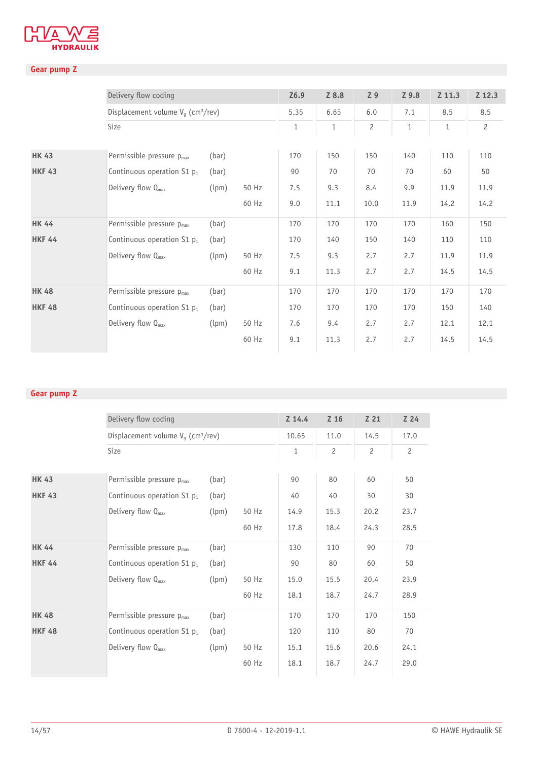

### **Gear pump Z**

|               | Delivery flow coding                             |       |       | Z6.9         | Z 8.8        | Z 9            | Z 9.8        | Z 11.3       | Z 12.3         |
|---------------|--------------------------------------------------|-------|-------|--------------|--------------|----------------|--------------|--------------|----------------|
|               | Displacement volume $V_g$ (cm <sup>3</sup> /rev) |       |       | 5.35         | 6.65         | 6.0            | 7.1          | 8.5          | 8.5            |
|               | Size                                             |       |       | $\mathbf{1}$ | $\mathbf{1}$ | $\overline{c}$ | $\mathbf{1}$ | $\mathbf{1}$ | $\overline{c}$ |
|               |                                                  |       |       |              |              |                |              |              |                |
| <b>HK 43</b>  | Permissible pressure $p_{max}$                   | (bar) |       | 170          | 150          | 150            | 140          | 110          | 110            |
| <b>HKF 43</b> | Continuous operation $S1$ $p_1$                  | (bar) |       | 90           | 70           | 70             | 70           | 60           | 50             |
|               | Delivery flow Q <sub>max</sub>                   | (lpm) | 50 Hz | 7.5          | 9.3          | 8.4            | 9.9          | 11.9         | 11.9           |
|               |                                                  |       | 60 Hz | 9.0          | 11.1         | 10.0           | 11.9         | 14.2         | 14.2           |
| <b>HK 44</b>  | Permissible pressure $p_{max}$                   | (bar) |       | 170          | 170          | 170            | 170          | 160          | 150            |
| <b>HKF 44</b> | Continuous operation $S1$ $p_1$                  | (bar) |       | 170          | 140          | 150            | 140          | 110          | 110            |
|               | Delivery flow $Q_{\text{max}}$                   | (lpm) | 50 Hz | 7.5          | 9.3          | 2.7            | 2.7          | 11.9         | 11.9           |
|               |                                                  |       | 60 Hz | 9.1          | 11.3         | 2.7            | 2.7          | 14.5         | 14.5           |
| <b>HK 48</b>  | Permissible pressure p <sub>max</sub>            | (bar) |       | 170          | 170          | 170            | 170          | 170          | 170            |
| <b>HKF 48</b> | Continuous operation $S1$ $p_1$                  | (bar) |       | 170          | 170          | 170            | 170          | 150          | 140            |
|               | Delivery flow Q <sub>max</sub>                   | (lpm) | 50 Hz | 7.6          | 9.4          | 2.7            | 2.7          | 12.1         | 12.1           |
|               |                                                  |       | 60 Hz | 9.1          | 11.3         | 2.7            | 2.7          | 14.5         | 14.5           |
|               |                                                  |       |       |              |              |                |              |              |                |

### **Gear pump Z**

|               | Delivery flow coding                             |       |       | Z 14.4       | Z 16           | Z <sub>21</sub> | Z <sub>24</sub> |
|---------------|--------------------------------------------------|-------|-------|--------------|----------------|-----------------|-----------------|
|               | Displacement volume $V_q$ (cm <sup>3</sup> /rev) |       |       | 10.65        | 11.0           | 14.5            | 17.0            |
|               | Size                                             |       |       | $\mathbf{1}$ | $\overline{c}$ | $\overline{c}$  | $\overline{c}$  |
|               |                                                  |       |       |              |                |                 |                 |
| <b>HK 43</b>  | Permissible pressure $p_{max}$                   | (bar) |       | 90           | 80             | 60              | 50              |
| <b>HKF 43</b> | Continuous operation S1 p <sub>1</sub>           | (bar) |       | 40           | 40             | 30              | 30              |
|               | Delivery flow $Q_{\text{max}}$                   | (lpm) | 50 Hz | 14.9         | 15.3           | 20.2            | 23.7            |
|               |                                                  |       | 60 Hz | 17.8         | 18.4           | 24.3            | 28.5            |
| <b>HK 44</b>  | Permissible pressure $p_{max}$                   | (bar) |       | 130          | 110            | 90              | 70              |
| <b>HKF 44</b> | Continuous operation $S1$ $p_1$                  | (bar) |       | 90           | 80             | 60              | 50              |
|               | Delivery flow $Q_{\text{max}}$                   | (lpm) | 50 Hz | 15.0         | 15.5           | 20.4            | 23.9            |
|               |                                                  |       | 60 Hz | 18.1         | 18.7           | 24.7            | 28.9            |
| <b>HK 48</b>  | Permissible pressure $p_{max}$                   | (bar) |       | 170          | 170            | 170             | 150             |
| <b>HKF 48</b> | Continuous operation $S1$ $p_1$                  | (bar) |       | 120          | 110            | 80              | 70              |
|               | Delivery flow $Q_{\text{max}}$                   | (lpm) | 50 Hz | 15.1         | 15.6           | 20.6            | 24.1            |
|               |                                                  |       | 60 Hz | 18.1         | 18.7           | 24.7            | 29.0            |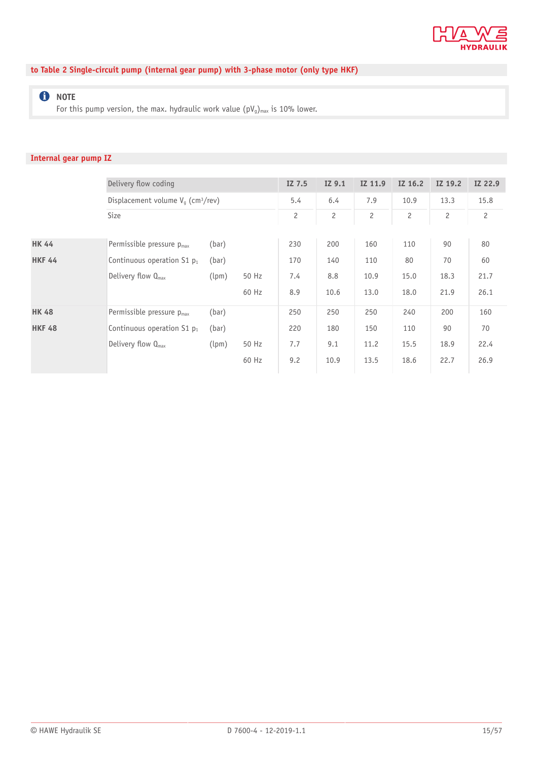

### **to Table 2 Single-circuit pump (internal gear pump) with 3-phase motor (only type HKF)**

### **O** NOTE

For this pump version, the max. hydraulic work value  $(pV_g)_{max}$  is 10% lower.

### **Internal gear pump IZ**

|               | Delivery flow coding                             |       |       | IZ 7.5         | IZ 9.1         | IZ 11.9        | IZ 16.2        | IZ 19.2        | IZ 22.9        |  |
|---------------|--------------------------------------------------|-------|-------|----------------|----------------|----------------|----------------|----------------|----------------|--|
|               | Displacement volume $V_q$ (cm <sup>3</sup> /rev) |       |       | 5.4            | 6.4            | 7.9            | 10.9           | 13.3           | 15.8           |  |
|               | Size                                             |       |       | $\overline{c}$ | $\overline{c}$ | $\overline{c}$ | $\overline{c}$ | $\overline{c}$ | $\overline{c}$ |  |
|               |                                                  |       |       |                |                |                |                |                |                |  |
| <b>HK 44</b>  | Permissible pressure p <sub>max</sub>            | (bar) |       | 230            | 200            | 160            | 110            | 90             | 80             |  |
| <b>HKF 44</b> | Continuous operation $S1$ $p_1$                  | (bar) |       | 170            | 140            | 110            | 80             | 70             | 60             |  |
|               | Delivery flow $Q_{\text{max}}$                   | (lpm) | 50 Hz | 7.4            | 8.8            | 10.9           | 15.0           | 18.3           | 21.7           |  |
|               |                                                  |       | 60 Hz | 8.9            | 10.6           | 13.0           | 18.0           | 21.9           | 26.1           |  |
| <b>HK 48</b>  | Permissible pressure p <sub>max</sub>            | (bar) |       | 250            | 250            | 250            | 240            | 200            | 160            |  |
| <b>HKF 48</b> | Continuous operation $S1$ $p_1$                  | (bar) |       | 220            | 180            | 150            | 110            | 90             | 70             |  |
|               | Delivery flow $Q_{\text{max}}$                   | (lpm) | 50 Hz | 7.7            | 9.1            | 11.2           | 15.5           | 18.9           | 22.4           |  |
|               |                                                  |       | 60 Hz | 9.2            | 10.9           | 13.5           | 18.6           | 22.7           | 26.9           |  |
|               |                                                  |       |       |                |                |                |                |                |                |  |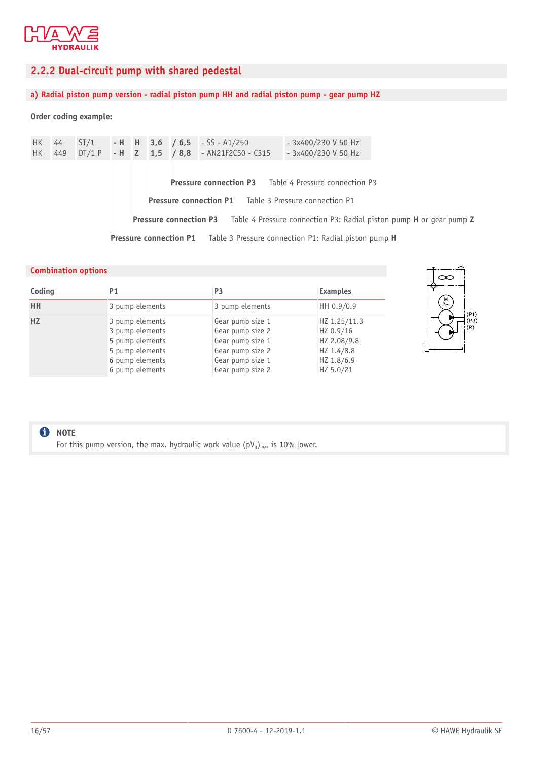

### <span id="page-15-0"></span>**2.2.2 Dual-circuit pump with shared pedestal**

### **a) Radial piston pump version - radial piston pump HH and radial piston pump - gear pump HZ**

#### **Order coding example:**

| HK .<br>HK - | 44                                                                                 |  |  |  |  |  | $ST/1$ - H H 3,6 / 6,5 - SS - A1/250<br>449 DT/1 P - H Z 1,5 / 8,8 - AN21F2C50 - C315 | - 3x400/230 V 50 Hz<br>- 3x400/230 V 50 Hz            |                                                                                                   |
|--------------|------------------------------------------------------------------------------------|--|--|--|--|--|---------------------------------------------------------------------------------------|-------------------------------------------------------|---------------------------------------------------------------------------------------------------|
|              |                                                                                    |  |  |  |  |  |                                                                                       | Pressure connection P3 Table 4 Pressure connection P3 |                                                                                                   |
|              |                                                                                    |  |  |  |  |  | <b>Pressure connection P1</b> Table 3 Pressure connection P1                          |                                                       |                                                                                                   |
|              |                                                                                    |  |  |  |  |  |                                                                                       |                                                       | <b>Pressure connection P3</b> Table 4 Pressure connection P3: Radial piston pump H or gear pump Z |
|              | <b>Pressure connection P1</b> Table 3 Pressure connection P1: Radial piston pump H |  |  |  |  |  |                                                                                       |                                                       |                                                                                                   |

#### **Combination options Coding P1 P3 Examples HH** 3 pump elements 3 pump elements 3 pump elements **HZ** 3 pump elements 3 pump elements 5 pump elements 5 pump elements 6 pump elements 6 pump elements Gear pump size 1 Gear pump size 2 Gear pump size 1 Gear pump size 2 Gear pump size 1 Gear pump size 2 HZ 1.25/11.3 HZ 0.9/16 HZ 2.08/9.8 HZ 1.4/8.8 HZ 1.8/6.9 HZ 5.0/21



### **f** NOTE

For this pump version, the max. hydraulic work value  $(pV_q)_{max}$  is 10% lower.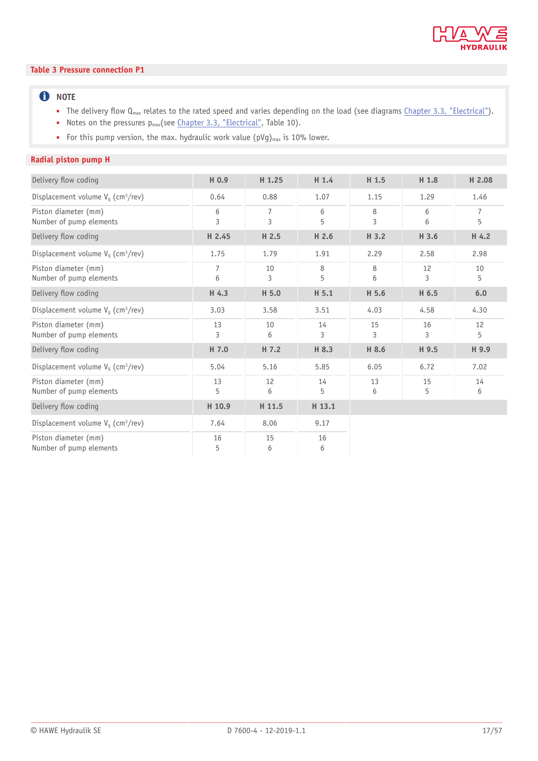

#### **Table 3 Pressure connection P1**

### **O** NOTE

- The delivery flow Q<sub>max</sub> relates to the rated speed and varies depending on the load (see diagrams [Chapter 3.3, "Electrical"](#page-28-0)).
- Notes on the pressures p<sub>max</sub>(see [Chapter 3.3, "Electrical"](#page-28-0), Table 10).
- For this pump version, the max. hydraulic work value ( $pVg$ )<sub>max</sub> is 10% lower.

| Delivery flow coding                             | H 0.9               | H 1.25  | $H$ 1.4 | H 1.5   | H 1.8   | H 2.08  |
|--------------------------------------------------|---------------------|---------|---------|---------|---------|---------|
| Displacement volume $V_q$ (cm <sup>3</sup> /rev) | 0.64                | 0.88    | 1.07    | 1.15    | 1.29    | 1.46    |
| Piston diameter (mm)<br>Number of pump elements  | 6<br>3              | 7<br>3  | 6<br>5  | 8<br>3  | 6<br>6  | 7<br>5  |
| Delivery flow coding                             | H 2.45              | H 2.5   | H 2.6   | H 3.2   | H 3.6   | H 4.2   |
| Displacement volume $V_q$ (cm <sup>3</sup> /rev) | 1.75                | 1.79    | 1.91    | 2.29    | 2.58    | 2.98    |
| Piston diameter (mm)<br>Number of pump elements  | $\overline{7}$<br>6 | 10<br>3 | 8<br>5  | 8<br>6  | 12<br>3 | 10<br>5 |
| Delivery flow coding                             | H 4.3               | H 5.0   | H 5.1   | H 5.6   | H 6.5   | 6.0     |
| Displacement volume $V_a$ (cm <sup>3</sup> /rev) | 3.03                | 3.58    | 3.51    | 4.03    | 4.58    | 4.30    |
| Piston diameter (mm)<br>Number of pump elements  | 13<br>3             | 10<br>6 | 14<br>3 | 15<br>3 | 16<br>3 | 12<br>5 |
| Delivery flow coding                             | H 7.0               | H 7.2   | H 8.3   | H 8.6   | H 9.5   | H 9.9   |
| Displacement volume $V_q$ (cm <sup>3</sup> /rev) | 5.04                | 5.16    | 5.85    | 6.05    | 6.72    | 7.02    |
| Piston diameter (mm)<br>Number of pump elements  | 13<br>5             | 12<br>6 | 14<br>5 | 13<br>6 | 15<br>5 | 14<br>6 |
| Delivery flow coding                             | H 10.9              | H 11.5  | H 13.1  |         |         |         |
| Displacement volume $V_g$ (cm <sup>3</sup> /rev) | 7.64                | 8.06    | 9.17    |         |         |         |
| Piston diameter (mm)<br>Number of pump elements  | 16<br>5             | 15<br>6 | 16<br>6 |         |         |         |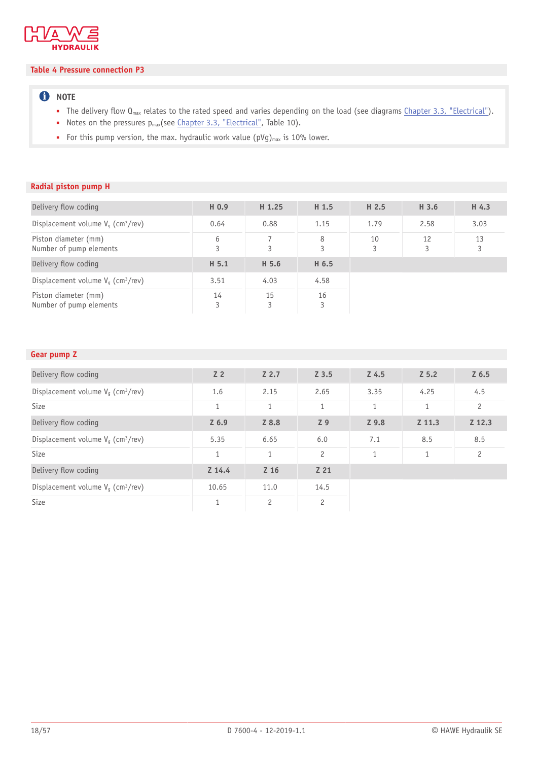

### **Table 4 Pressure connection P3**

### **O** NOTE

- The delivery flow Q<sub>max</sub> relates to the rated speed and varies depending on the load (see diagrams [Chapter 3.3, "Electrical"](#page-28-0)).
- Notes on the pressures p<sub>max</sub>(see [Chapter 3.3, "Electrical"](#page-28-0), Table 10).
- For this pump version, the max. hydraulic work value ( $pVg$ )<sub>max</sub> is 10% lower.

### **Radial piston pump H**

| Delivery flow coding                             | H 0.9   | H <sub>1.25</sub> | H 1.5   | H <sub>2.5</sub> | H 3.6   | H 4.3   |
|--------------------------------------------------|---------|-------------------|---------|------------------|---------|---------|
| Displacement volume $V_q$ (cm <sup>3</sup> /rev) | 0.64    | 0.88              | 1.15    | 1.79             | 2.58    | 3.03    |
| Piston diameter (mm)<br>Number of pump elements  | 6<br>3  | 3                 | 8<br>3  | 10<br>3          | 12<br>3 | 13<br>3 |
| Delivery flow coding                             | H 5.1   | H 5.6             | H 6.5   |                  |         |         |
| Displacement volume $V_a$ (cm <sup>3</sup> /rev) | 3.51    | 4.03              | 4.58    |                  |         |         |
| Piston diameter (mm)<br>Number of pump elements  | 14<br>3 | 15<br>3           | 16<br>3 |                  |         |         |

### **Gear pump Z**

| Delivery flow coding                             | Z <sub>2</sub> | $Z$ 2.7        | Z 3.5          | Z <sub>4.5</sub> | $Z$ 5.2      | $Z$ 6.5        |
|--------------------------------------------------|----------------|----------------|----------------|------------------|--------------|----------------|
| Displacement volume $V_q$ (cm <sup>3</sup> /rev) | 1.6            | 2.15           | 2.65           | 3.35             | 4.25         | 4.5            |
| Size                                             | $\mathbf{1}$   | $\mathbf{1}$   | $\mathbf{1}$   | $\mathbf{1}$     | $\mathbf{1}$ | $\overline{c}$ |
|                                                  |                |                |                |                  |              |                |
| Delivery flow coding                             | $Z$ 6.9        | Z 8.8          | Z <sub>9</sub> | Z 9.8            | Z 11.3       | Z 12.3         |
| Displacement volume $V_g$ (cm <sup>3</sup> /rev) | 5.35           | 6.65           | 6.0            | 7.1              | 8.5          | 8.5            |
| Size                                             | $\mathbf{1}$   | 1              | $\overline{c}$ | $\mathbf{1}$     | $\mathbf{1}$ | $\overline{c}$ |
| Delivery flow coding                             | $Z$ 14.4       | Z 16           | Z 21           |                  |              |                |
| Displacement volume $V_g$ (cm <sup>3</sup> /rev) | 10.65          | 11.0           | 14.5           |                  |              |                |
| Size                                             | 1              | $\overline{c}$ | $\overline{c}$ |                  |              |                |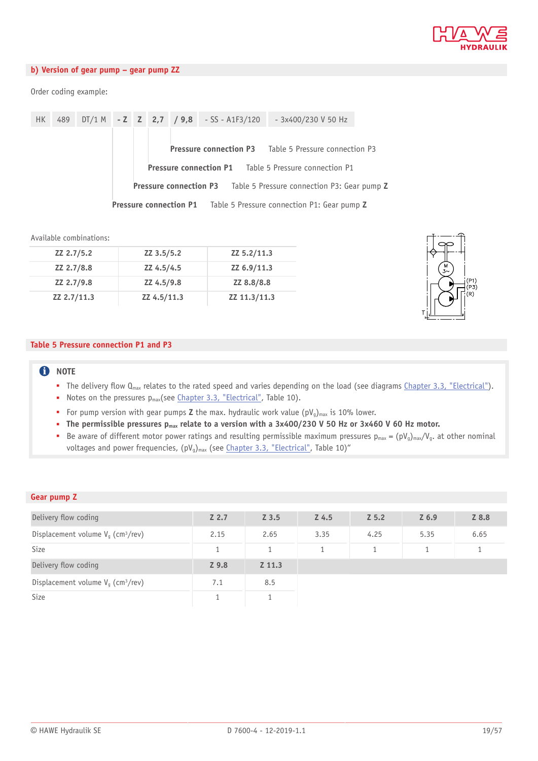

### **b) Version of gear pump – gear pump ZZ**

Order coding example:

| <b>HK</b> |                                                                           |  |  |                                                              |  |  | 489 DT/1 M - Z Z 2,7 $\big/$ 9,8 - SS - A1F3/120 | - 3x400/230 V 50 Hz                                   |  |  |  |
|-----------|---------------------------------------------------------------------------|--|--|--------------------------------------------------------------|--|--|--------------------------------------------------|-------------------------------------------------------|--|--|--|
|           |                                                                           |  |  |                                                              |  |  |                                                  |                                                       |  |  |  |
|           |                                                                           |  |  |                                                              |  |  |                                                  | Pressure connection P3 Table 5 Pressure connection P3 |  |  |  |
|           |                                                                           |  |  | <b>Pressure connection P1</b> Table 5 Pressure connection P1 |  |  |                                                  |                                                       |  |  |  |
|           | <b>Pressure connection P3</b> Table 5 Pressure connection P3: Gear pump Z |  |  |                                                              |  |  |                                                  |                                                       |  |  |  |
|           | <b>Pressure connection P1</b> Table 5 Pressure connection P1: Gear pump Z |  |  |                                                              |  |  |                                                  |                                                       |  |  |  |

#### Available combinations:

| ZZ 2.7/5.2  | ZZ 3.5/5.2  | ZZ 5.2/11.3  |
|-------------|-------------|--------------|
| ZZ 2.7/8.8  | ZZ 4.5/4.5  | ZZ 6.9/11.3  |
| ZZ 2.7/9.8  | ZZ 4.5/9.8  | ZZ 8.8/8.8   |
| ZZ 2.7/11.3 | ZZ 4.5/11.3 | ZZ 11.3/11.3 |



#### **Table 5 Pressure connection P1 and P3**

### **O** NOTE

- The delivery flow Q<sub>max</sub> relates to the rated speed and varies depending on the load (see diagrams [Chapter 3.3, "Electrical"](#page-28-0)).
- Notes on the pressures p<sub>max</sub>(see [Chapter 3.3, "Electrical"](#page-28-0), Table 10).
- For pump version with gear pumps **Z** the max. hydraulic work value (pV<sub>g</sub>)<sub>max</sub> is 10% lower.
- The permissible pressures p<sub>max</sub> relate to a version with a 3x400/230 V 50 Hz or 3x460 V 60 Hz motor.
- Be aware of different motor power ratings and resulting permissible maximum pressures  $p_{max} = (pV_g)_{max}/V_g$ . at other nominal voltages and power frequencies,  $(pV_g)_{max}$  (see [Chapter 3.3, "Electrical"](#page-28-0), Table 10)"

#### **Gear pump Z**

| Delivery flow coding                             | Z <sub>2.7</sub> | Z 3.5  | Z 4.5 | Z 5.2 | $Z$ 6.9 | Z 8.8 |
|--------------------------------------------------|------------------|--------|-------|-------|---------|-------|
| Displacement volume $V_g$ (cm <sup>3</sup> /rev) | 2.15             | 2.65   | 3.35  | 4.25  | 5.35    | 6.65  |
| Size                                             |                  |        |       |       |         |       |
| Delivery flow coding                             | Z <sub>9.8</sub> | Z 11.3 |       |       |         |       |
| Displacement volume $V_q$ (cm <sup>3</sup> /rev) | 7.1              | 8.5    |       |       |         |       |
| Size                                             |                  |        |       |       |         |       |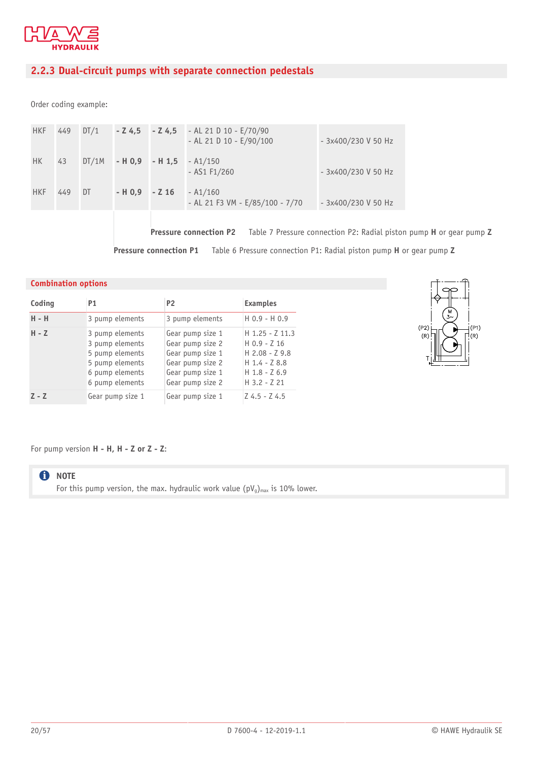

### <span id="page-19-0"></span>**2.2.3 Dual-circuit pumps with separate connection pedestals**

Order coding example:

| <b>HKF</b> | 449 | DT/1 | $-24.5 - 24.5$  | - AL 21 D 10 - $E/70/90$<br>- AL 21 D 10 - $E/90/100$ | - 3x400/230 V 50 Hz |
|------------|-----|------|-----------------|-------------------------------------------------------|---------------------|
| <b>HK</b>  | 43  |      |                 | $DT/1M$ - H 0,9 - H 1,5 - A1/150<br>$-$ AS1 F1/260    | - 3x400/230 V 50 Hz |
| <b>HKF</b> | 449 | DT   | $-H 0.9 - Z 16$ | $- A1/160$<br>- AL 21 F3 VM - E/85/100 - 7/70         | - 3x400/230 V 50 Hz |

**Pressure connection P2** Table 7 Pressure connection P2: Radial piston pump **H** or gear pump **Z Pressure connection P1** Table 6 Pressure connection P1: Radial piston pump **H** or gear pump **Z**

### **Combination options**

| Coding  | P <sub>1</sub>                                                                                                 | <b>P2</b>                                                                                                            | <b>Examples</b>                                                                                                     |
|---------|----------------------------------------------------------------------------------------------------------------|----------------------------------------------------------------------------------------------------------------------|---------------------------------------------------------------------------------------------------------------------|
| H - H   | 3 pump elements                                                                                                | 3 pump elements                                                                                                      | $H$ 0.9 - H 0.9                                                                                                     |
| $H - Z$ | 3 pump elements<br>3 pump elements<br>5 pump elements<br>5 pump elements<br>6 pump elements<br>6 pump elements | Gear pump size 1<br>Gear pump size 2<br>Gear pump size 1<br>Gear pump size 2<br>Gear pump size 1<br>Gear pump size 2 | $H$ 1.25 - $Z$ 11.3<br>$H$ 0.9 - Z 16<br>$H 2.08 - Z 9.8$<br>$H$ 1.4 - Z 8.8<br>$H$ 1.8 - Z 6.9<br>$H$ 3.2 - $Z$ 21 |
| $Z - Z$ | Gear pump size 1                                                                                               | Gear pump size 1                                                                                                     | $Z$ 4.5 - Z 4.5                                                                                                     |



For pump version **H - H, H - Z or Z - Z**:

### **O** NOTE

For this pump version, the max. hydraulic work value  $(pV_g)_{max}$  is 10% lower.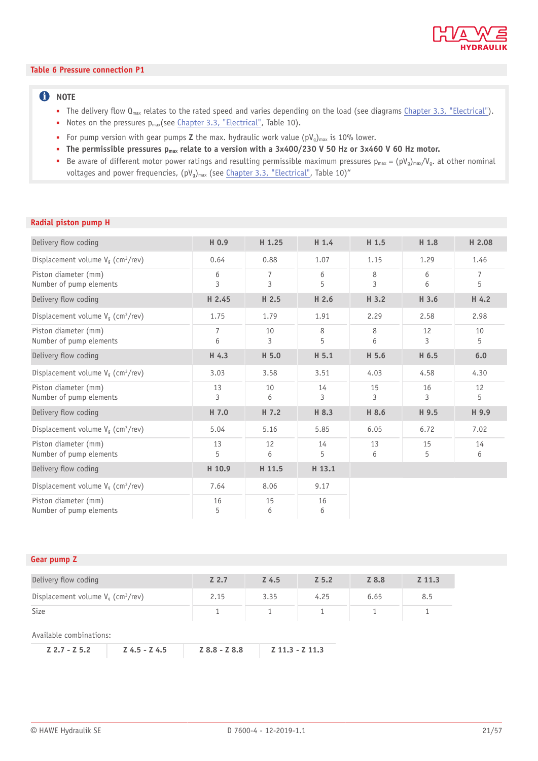

#### **Table 6 Pressure connection P1**

### **f** NOTE

- **•** The delivery flow  $Q_{max}$  relates to the rated speed and varies depending on the load (see diagrams [Chapter 3.3, "Electrical"](#page-28-0)).
- Notes on the pressures p<sub>max</sub>(see [Chapter 3.3, "Electrical"](#page-28-0), Table 10).
- For pump version with gear pumps **Z** the max. hydraulic work value (pV<sub>g</sub>)<sub>max</sub> is 10% lower.
- The permissible pressures  $p_{max}$  relate to a version with a 3x400/230 V 50 Hz or 3x460 V 60 Hz motor.
- Be aware of different motor power ratings and resulting permissible maximum pressures  $p_{max} = (pV_q)_{max}/V_q$ . at other nominal voltages and power frequencies,  $(pV_q)_{max}$  (see [Chapter 3.3, "Electrical"](#page-28-0), Table 10)"

### **Radial piston pump H**

| Delivery flow coding                             | H 0.9               | H 1.25              | H 1.4   | H 1.5   | H 1.8   | H 2.08              |
|--------------------------------------------------|---------------------|---------------------|---------|---------|---------|---------------------|
| Displacement volume $V_q$ (cm <sup>3</sup> /rev) | 0.64                | 0.88                | 1.07    | 1.15    | 1.29    | 1.46                |
| Piston diameter (mm)<br>Number of pump elements  | 6<br>3              | $\overline{7}$<br>3 | 6<br>5  | 8<br>3  | 6<br>6  | $\overline{7}$<br>5 |
| Delivery flow coding                             | H 2.45              | H 2.5               | H 2.6   | H 3.2   | H 3.6   | H 4.2               |
| Displacement volume $V_q$ (cm <sup>3</sup> /rev) | 1.75                | 1.79                | 1.91    | 2.29    | 2.58    | 2.98                |
| Piston diameter (mm)<br>Number of pump elements  | $\overline{7}$<br>6 | 10<br>3             | 8<br>5  | 8<br>6  | 12<br>3 | 10<br>5             |
| Delivery flow coding                             | H 4.3               | H 5.0               | H 5.1   | H 5.6   | H 6.5   | 6.0                 |
| Displacement volume $V_q$ (cm <sup>3</sup> /rev) | 3.03                | 3.58                | 3.51    | 4.03    | 4.58    | 4.30                |
| Piston diameter (mm)<br>Number of pump elements  | 13<br>3             | 10<br>6             | 14<br>3 | 15<br>3 | 16<br>3 | 12<br>5             |
| Delivery flow coding                             | H 7.0               | H 7.2               | H 8.3   | H 8.6   | H 9.5   | H 9.9               |
| Displacement volume $V_g$ (cm <sup>3</sup> /rev) | 5.04                | 5.16                | 5.85    | 6.05    | 6.72    | 7.02                |
| Piston diameter (mm)<br>Number of pump elements  | 13<br>5             | 12<br>6             | 14<br>5 | 13<br>6 | 15<br>5 | 14<br>6             |
| Delivery flow coding                             | H 10.9              | H 11.5              | H 13.1  |         |         |                     |
| Displacement volume $V_q$ (cm <sup>3</sup> /rev) | 7.64                | 8.06                | 9.17    |         |         |                     |
| Piston diameter (mm)<br>Number of pump elements  | 16<br>5             | 15<br>6             | 16<br>6 |         |         |                     |

| Gear pump Z                                      |       |       |         |       |          |
|--------------------------------------------------|-------|-------|---------|-------|----------|
| Delivery flow coding                             | Z 2.7 | Z 4.5 | $Z$ 5.2 | Z 8.8 | $Z$ 11.3 |
| Displacement volume $V_q$ (cm <sup>3</sup> /rev) | 2.15  | 3.35  | 4.25    | 6.65  | 8.5      |
| <b>Size</b>                                      |       |       |         |       |          |

Available combinations: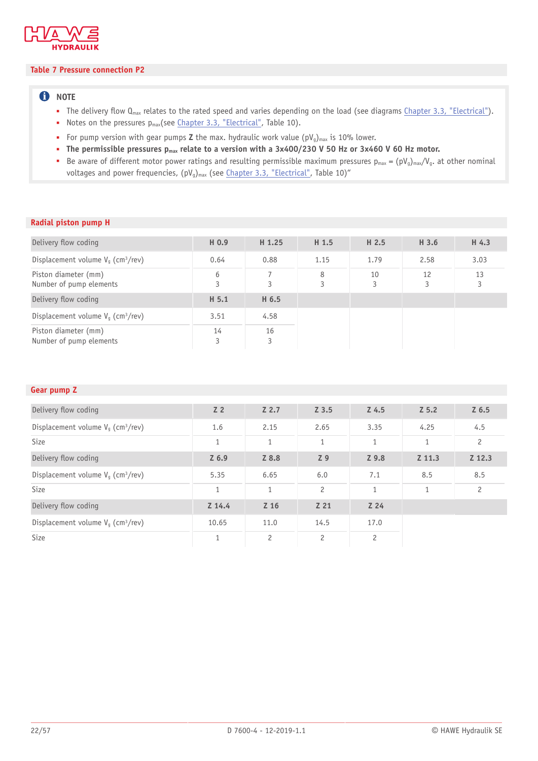

#### **Table 7 Pressure connection P2**

### **f** NOTE

- **•** The delivery flow  $Q_{max}$  relates to the rated speed and varies depending on the load (see diagrams [Chapter 3.3, "Electrical"](#page-28-0)).
- Notes on the pressures p<sub>max</sub>(see *Chapter 3.3, "Electrical"*, Table 10).
- For pump version with gear pumps **Z** the max. hydraulic work value (pV<sub>g</sub>)<sub>max</sub> is 10% lower.
- The permissible pressures  $p_{max}$  relate to a version with a 3x400/230 V 50 Hz or 3x460 V 60 Hz motor.
- Be aware of different motor power ratings and resulting permissible maximum pressures  $p_{max} = (pV_q)_{max}/V_q$ . at other nominal voltages and power frequencies,  $(pV_q)_{max}$  (see [Chapter 3.3, "Electrical"](#page-28-0), Table 10)"

### **Radial piston pump H**

| Delivery flow coding                             | H 0.9   | H <sub>1.25</sub> | H 1.5  | H 2.5   | H 3.6   | H 4.3   |
|--------------------------------------------------|---------|-------------------|--------|---------|---------|---------|
| Displacement volume $V_a$ (cm <sup>3</sup> /rev) | 0.64    | 0.88              | 1.15   | 1.79    | 2.58    | 3.03    |
| Piston diameter (mm)<br>Number of pump elements  | 6<br>3  | 3                 | 8<br>3 | 10<br>3 | 12<br>3 | 13<br>3 |
| Delivery flow coding                             | H 5.1   | H 6.5             |        |         |         |         |
| Displacement volume $V_a$ (cm <sup>3</sup> /rev) | 3.51    | 4.58              |        |         |         |         |
| Piston diameter (mm)<br>Number of pump elements  | 14<br>3 | 16<br>3           |        |         |         |         |

### **Gear pump Z**

| Delivery flow coding                             | Z <sub>2</sub> | $Z$ 2.7        | $Z$ 3.5              | $Z$ 4.5         | Z 5.2        | $Z$ 6.5        |
|--------------------------------------------------|----------------|----------------|----------------------|-----------------|--------------|----------------|
| Displacement volume $V_q$ (cm <sup>3</sup> /rev) | 1.6            | 2.15           | 2.65                 | 3.35            | 4.25         | 4.5            |
| Size                                             | $\mathbf{1}$   | $\mathbf{1}$   | $\mathbf{1}$         | $\mathbf{1}$    | $\mathbf{1}$ | $\overline{c}$ |
| Delivery flow coding                             | $Z$ 6.9        | Z 8.8          | Z <sub>9</sub>       | Z 9.8           | Z 11.3       | Z 12.3         |
| Displacement volume $V_g$ (cm <sup>3</sup> /rev) | 5.35           | 6.65           | 6.0                  | 7.1             | 8.5          | 8.5            |
| Size                                             | 1              | 1              | $\overline{c}$       | $\mathbf{1}$    | $\mathbf{1}$ | $\overline{c}$ |
| Delivery flow coding                             | $Z$ 14.4       | Z 16           | Z 21                 | Z <sub>24</sub> |              |                |
| Displacement volume $V_g$ (cm <sup>3</sup> /rev) | 10.65          | 11.0           | 14.5                 | 17.0            |              |                |
| Size                                             | $\mathbf{1}$   | $\overline{c}$ | $\mathbf{2}^{\circ}$ | $\overline{c}$  |              |                |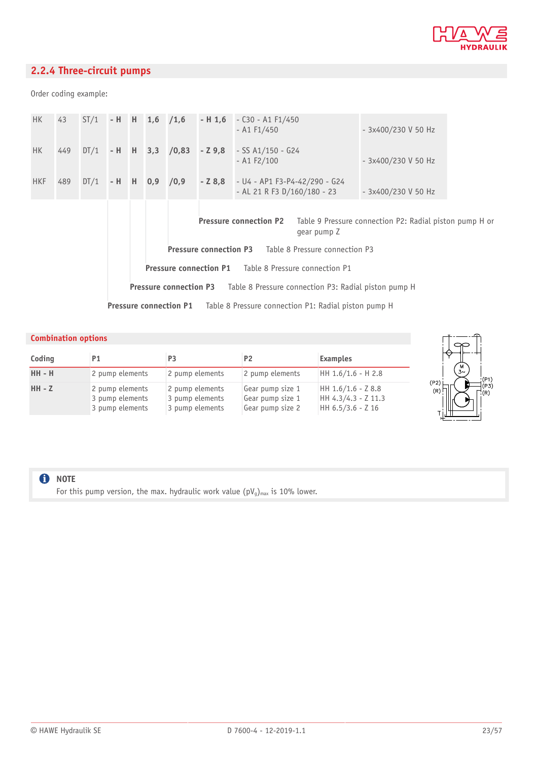

### <span id="page-22-0"></span>**2.2.4 Three-circuit pumps**

Order coding example:

| <b>HK</b>  |                                                                                                      |  |  |  |  |  | 43 $ST/1$ - H H 1,6 $/1,6$ - H 1,6 - C30 - A1 F1/450<br>$-$ A1 F1/450 |                                                                                            | - 3x400/230 V 50 Hz |  |
|------------|------------------------------------------------------------------------------------------------------|--|--|--|--|--|-----------------------------------------------------------------------|--------------------------------------------------------------------------------------------|---------------------|--|
| HK -       | 449                                                                                                  |  |  |  |  |  |                                                                       | $DT/1$ - H H 3,3 /0,83 - Z 9,8 - SS A1/150 - G24<br>$-$ A1 F2/100                          | - 3x400/230 V 50 Hz |  |
| <b>HKF</b> | 489                                                                                                  |  |  |  |  |  |                                                                       | $DT/1$ - H H 0,9 /0,9 - Z 8,8 - U4 - AP1 F3-P4-42/290 - G24<br>- AL 21 R F3 D/160/180 - 23 | - 3x400/230 V 50 Hz |  |
|            | <b>Pressure connection P2</b> Table 9 Pressure connection P2: Radial piston pump H or<br>gear pump Z |  |  |  |  |  |                                                                       |                                                                                            |                     |  |
|            |                                                                                                      |  |  |  |  |  |                                                                       | <b>Pressure connection P3</b> Table 8 Pressure connection P3                               |                     |  |
|            | <b>Pressure connection P1</b> Table 8 Pressure connection P1                                         |  |  |  |  |  |                                                                       |                                                                                            |                     |  |
|            | <b>Pressure connection P3</b> Table 8 Pressure connection P3: Radial piston pump H                   |  |  |  |  |  |                                                                       |                                                                                            |                     |  |
|            | <b>Pressure connection P1</b> Table 8 Pressure connection P1: Radial piston pump H                   |  |  |  |  |  |                                                                       |                                                                                            |                     |  |

### **Combination options**

| Coding        | P <sub>1</sub>                                        | P <sub>3</sub>                                        | <b>P2</b>                                                | <b>Examples</b>                                                  |
|---------------|-------------------------------------------------------|-------------------------------------------------------|----------------------------------------------------------|------------------------------------------------------------------|
| <b>HH - H</b> | 2 pump elements                                       | 2 pump elements                                       | 2 pump elements                                          | HH 1.6/1.6 - H 2.8                                               |
| $HH - Z$      | 2 pump elements<br>3 pump elements<br>3 pump elements | 2 pump elements<br>3 pump elements<br>3 pump elements | Gear pump size 1<br>Gear pump size 1<br>Gear pump size 2 | HH $1.6/1.6 - Z 8.8$<br>HH 4.3/4.3 - Z 11.3<br>HH 6.5/3.6 - Z 16 |



**O** NOTE

For this pump version, the max. hydraulic work value  $(pV_g)_{max}$  is 10% lower.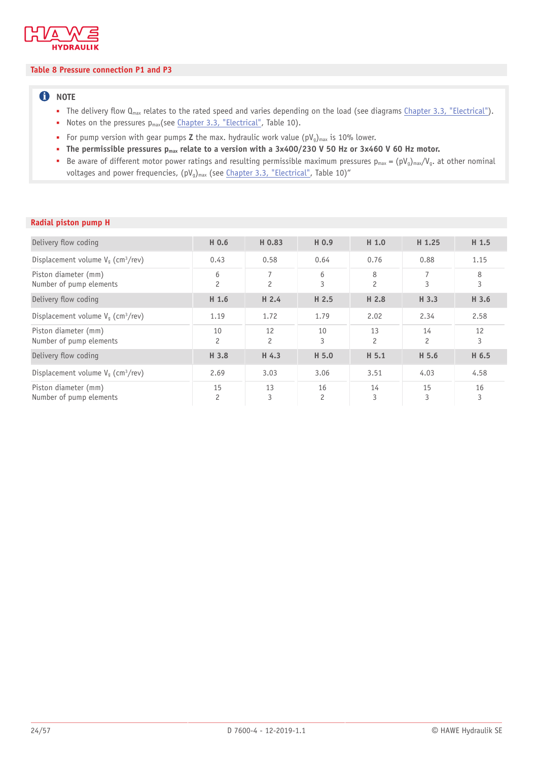

### **Table 8 Pressure connection P1 and P3**

### **f** NOTE

- **•** The delivery flow  $Q_{max}$  relates to the rated speed and varies depending on the load (see diagrams [Chapter 3.3, "Electrical"](#page-28-0)).
- Notes on the pressures p<sub>max</sub>(see [Chapter 3.3, "Electrical"](#page-28-0), Table 10).
- For pump version with gear pumps **Z** the max. hydraulic work value (pV<sub>g</sub>)<sub>max</sub> is 10% lower.
- The permissible pressures  $p_{max}$  relate to a version with a 3x400/230 V 50 Hz or 3x460 V 60 Hz motor.
- Be aware of different motor power ratings and resulting permissible maximum pressures  $p_{max} = (pV_q)_{max}/V_q$ . at other nominal voltages and power frequencies,  $(pV_q)_{max}$  (see [Chapter 3.3, "Electrical"](#page-28-0), Table 10)"

| Delivery flow coding                             | H 0.6                | H 0.83               | H 0.9   | H 1.0                | H 1.25               | H <sub>1.5</sub> |
|--------------------------------------------------|----------------------|----------------------|---------|----------------------|----------------------|------------------|
| Displacement volume $V_a$ (cm <sup>3</sup> /rev) | 0.43                 | 0.58                 | 0.64    | 0.76                 | 0.88                 | 1.15             |
| Piston diameter (mm)<br>Number of pump elements  | 6<br>$\overline{c}$  | 7<br>$\overline{c}$  | 6<br>3  | 8<br>$\overline{c}$  | 7<br>3               | 8<br>3           |
| Delivery flow coding                             | H <sub>1.6</sub>     | H <sub>2.4</sub>     | H 2.5   | H 2.8                | H 3.3                | H 3.6            |
| Displacement volume $V_a$ (cm <sup>3</sup> /rev) | 1.19                 | 1.72                 | 1.79    | 2.02                 | 2.34                 | 2.58             |
| Piston diameter (mm)<br>Number of pump elements  | 10<br>$\overline{c}$ | 12<br>$\overline{c}$ | 10<br>3 | 13<br>$\overline{c}$ | 14<br>$\overline{c}$ | 12<br>3          |
| Delivery flow coding                             | H 3.8                | H 4.3                | H 5.0   | H 5.1                | H 5.6                | H 6.5            |
| Displacement volume $V_a$ (cm <sup>3</sup> /rev) | 2.69                 | 3.03                 | 3.06    | 3.51                 | 4.03                 | 4.58             |
| Piston diameter (mm)<br>Number of pump elements  | 15<br>$\overline{c}$ | 13<br>3              | 16<br>2 | 14<br>3              | 15<br>3              | 16<br>3          |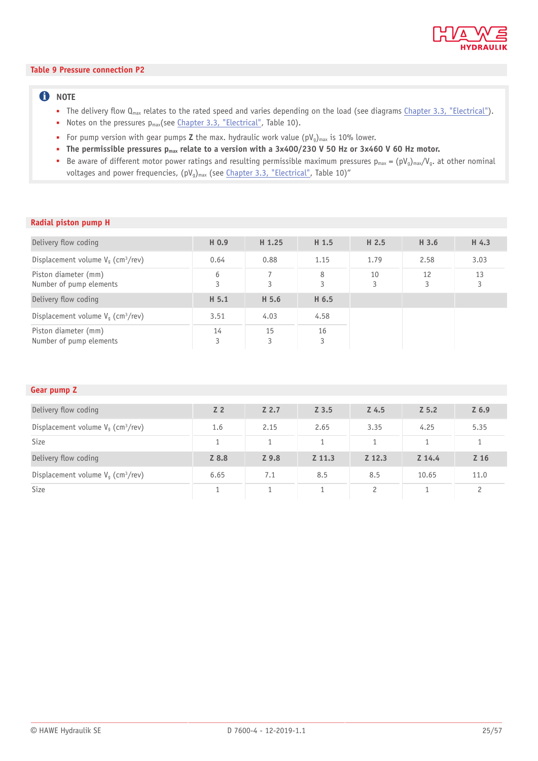

#### **Table 9 Pressure connection P2**

### **f** NOTE

- **•** The delivery flow  $Q_{max}$  relates to the rated speed and varies depending on the load (see diagrams [Chapter 3.3, "Electrical"](#page-28-0)).
- Notes on the pressures p<sub>max</sub>(see *Chapter 3.3, "Electrical"*, Table 10).
- For pump version with gear pumps **Z** the max. hydraulic work value (pV<sub>g</sub>)<sub>max</sub> is 10% lower.
- The permissible pressures  $p_{max}$  relate to a version with a 3x400/230 V 50 Hz or 3x460 V 60 Hz motor.
- Be aware of different motor power ratings and resulting permissible maximum pressures  $p_{max} = (pV_q)_{max}/V_q$ . at other nominal voltages and power frequencies,  $(pV_q)_{max}$  (see [Chapter 3.3, "Electrical"](#page-28-0), Table 10)"

### **Radial piston pump H**

| Delivery flow coding                             | H 0.9   | H 1.25  | H 1.5   | H <sub>2.5</sub> | H 3.6   | H 4.3   |
|--------------------------------------------------|---------|---------|---------|------------------|---------|---------|
| Displacement volume $V_a$ (cm <sup>3</sup> /rev) | 0.64    | 0.88    | 1.15    | 1.79             | 2.58    | 3.03    |
| Piston diameter (mm)<br>Number of pump elements  | 6<br>3  | 3       | 8<br>3  | 10<br>3          | 12<br>3 | 13<br>3 |
| Delivery flow coding                             | H 5.1   | H 5.6   | H 6.5   |                  |         |         |
| Displacement volume $V_a$ (cm <sup>3</sup> /rev) | 3.51    | 4.03    | 4.58    |                  |         |         |
| Piston diameter (mm)<br>Number of pump elements  | 14<br>3 | 15<br>3 | 16<br>3 |                  |         |         |

### **Gear pump Z**

| Delivery flow coding                             | Z <sub>2</sub> | Z 2.7 | $Z$ 3.5 | Z 4.5         | Z 5.2    | $Z$ 6.9        |
|--------------------------------------------------|----------------|-------|---------|---------------|----------|----------------|
| Displacement volume $V_q$ (cm <sup>3</sup> /rev) | 1.6            | 2.15  | 2.65    | 3.35          | 4.25     | 5.35           |
| Size                                             |                |       |         |               |          | 1              |
| Delivery flow coding                             | Z 8.8          | Z 9.8 | Z 11.3  | Z 12.3        | $Z$ 14.4 | Z 16           |
| Displacement volume $V_q$ (cm <sup>3</sup> /rev) | 6.65           | 7.1   | 8.5     | 8.5           | 10.65    | 11.0           |
| Size                                             |                |       |         | $\mathcal{P}$ |          | $\overline{c}$ |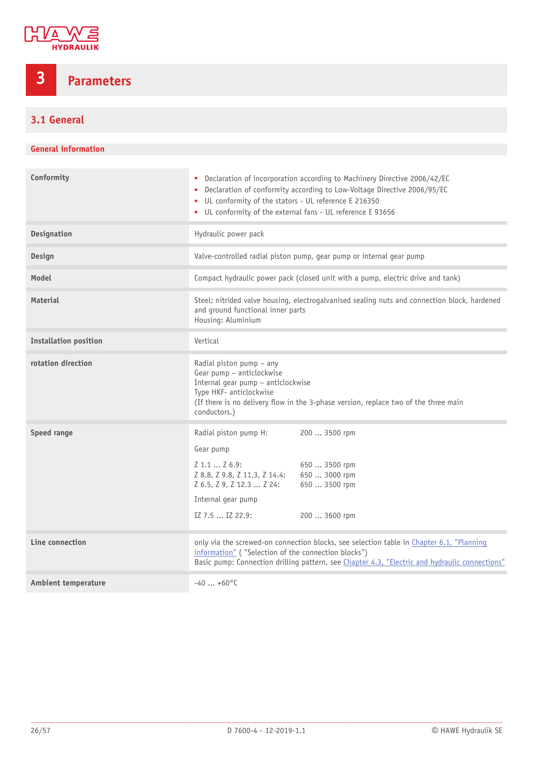

# <span id="page-25-0"></span>**3 Parameters**

## <span id="page-25-1"></span>**3.1 General**

### **General information**

| Conformity                   | • Declaration of incorporation according to Machinery Directive 2006/42/EC<br>Declaration of conformity according to Low-Voltage Directive 2006/95/EC<br>UL conformity of the stators - UL reference E 216350<br>• UL conformity of the external fans - UL reference E 93656 |  |  |  |  |  |
|------------------------------|------------------------------------------------------------------------------------------------------------------------------------------------------------------------------------------------------------------------------------------------------------------------------|--|--|--|--|--|
| <b>Designation</b>           | Hydraulic power pack                                                                                                                                                                                                                                                         |  |  |  |  |  |
| Design                       | Valve-controlled radial piston pump, gear pump or internal gear pump                                                                                                                                                                                                         |  |  |  |  |  |
| Model                        | Compact hydraulic power pack (closed unit with a pump, electric drive and tank)                                                                                                                                                                                              |  |  |  |  |  |
| <b>Material</b>              | Steel; nitrided valve housing, electrogalvanised sealing nuts and connection block, hardened<br>and ground functional inner parts<br>Housing: Aluminium                                                                                                                      |  |  |  |  |  |
| <b>Installation position</b> | Vertical                                                                                                                                                                                                                                                                     |  |  |  |  |  |
| rotation direction           | Radial piston pump - any<br>Gear pump - anticlockwise<br>Internal gear pump - anticlockwise<br>Type HKF- anticlockwise<br>(If there is no delivery flow in the 3-phase version, replace two of the three main<br>conductors.)                                                |  |  |  |  |  |
| Speed range                  | Radial piston pump H:<br>200  3500 rpm<br>Gear pump<br>Z 1.1  Z 6.9:<br>650  3500 rpm<br>Z 8.8, Z 9.8, Z 11.3, Z 14.4: 650  3000 rpm<br>Z 6.5, Z 9, Z 12.3  Z 24:<br>650  3500 rpm<br>Internal gear pump<br>IZ 7.5  IZ 22.9:<br>200  3600 rpm                                |  |  |  |  |  |
| Line connection              | only via the screwed-on connection blocks, see selection table in Chapter 6.1, "Planning<br>information" ("Selection of the connection blocks")<br>Basic pump: Connection drilling pattern, see Chapter 4.3, "Electric and hydraulic connections"                            |  |  |  |  |  |
| <b>Ambient temperature</b>   | $-40+60$ °C                                                                                                                                                                                                                                                                  |  |  |  |  |  |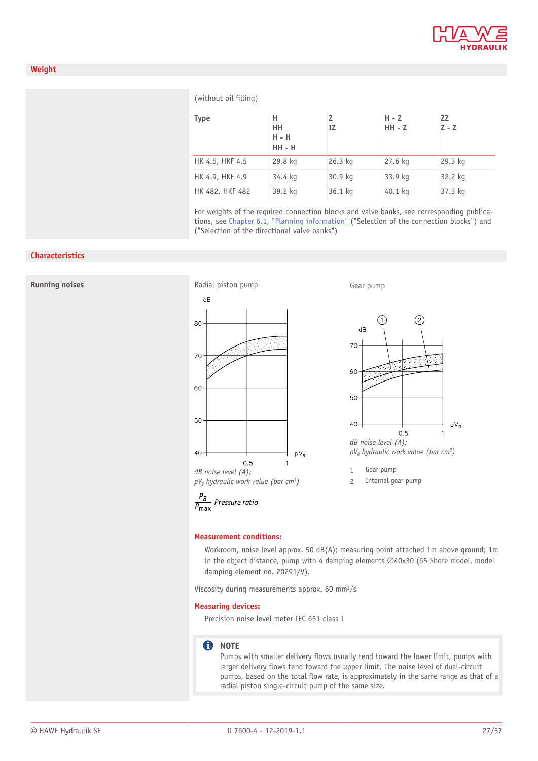

#### (without oil filling)

| <b>Type</b>     | н<br>HH<br>$H - H$<br><b>HH - H</b> | IZ        | $H - Z$<br>$HH - Z$ | ZZ<br>$Z - Z$ |
|-----------------|-------------------------------------|-----------|---------------------|---------------|
| HK 4.5, HKF 4.5 | 29.8 kg                             | $26.3$ kg | 27.6 kg             | 29.3 kg       |
| HK 4.9, HKF 4.9 | 34.4 kg                             | 30.9 kg   | 33.9 kg             | 32.2 kg       |
| HK 482, HKF 482 | 39.2 kg                             | 36.1 kg   | 40.1 kg             | 37.3 kg       |

For weights of the required connection blocks and valve banks, see corresponding publications, see Chapter 6.1, "Planning [information"](#page-47-1) ("Selection of the connection blocks") and ("Selection of the directional valve banks")

#### **Characteristics**



Workroom, noise level approx. 50 dB(A); measuring point attached 1m above ground; 1m in the object distance, pump with 4 damping elements  $\varnothing$ 40x30 (65 Shore model, model damping element no. 20291/V).

Viscosity during measurements approx. 60 mm2/s

#### **Measuring devices:**

Precision noise level meter IEC 651 class I

#### **O** NOTE

Pumps with smaller delivery flows usually tend toward the lower limit, pumps with larger delivery flows tend toward the upper limit. The noise level of dual-circuit pumps, based on the total flow rate, is approximately in the same range as that of a radial piston single-circuit pump of the same size.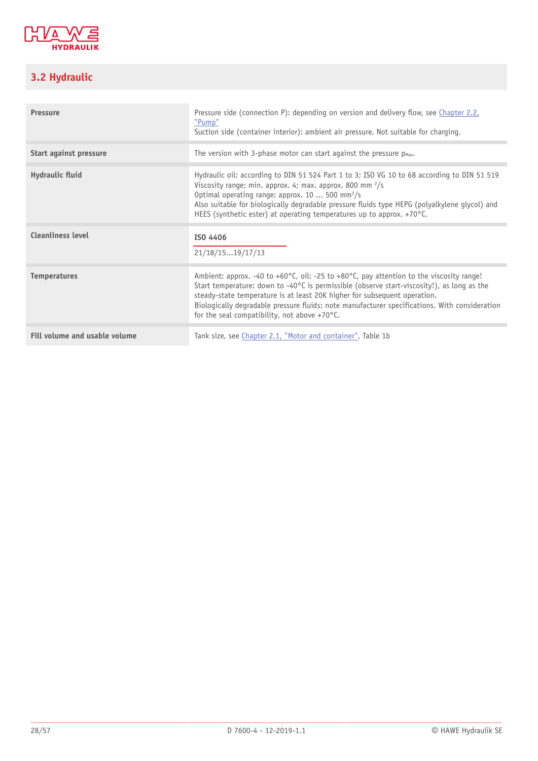

# <span id="page-27-0"></span>**3.2 Hydraulic**

| <b>Pressure</b>          | Pressure side (connection P): depending on version and delivery flow, see Chapter 2.2,<br>"Pump"<br>Suction side (container interior): ambient air pressure. Not suitable for charging.                                                                                                                                                                                                                                                             |
|--------------------------|-----------------------------------------------------------------------------------------------------------------------------------------------------------------------------------------------------------------------------------------------------------------------------------------------------------------------------------------------------------------------------------------------------------------------------------------------------|
| Start against pressure   | The version with 3-phase motor can start against the pressure $p_{\text{max}}$ .                                                                                                                                                                                                                                                                                                                                                                    |
| Hydraulic fluid          | Hydraulic oil: according to DIN 51 524 Part 1 to 3; ISO VG 10 to 68 according to DIN 51 519<br>Viscosity range: min. approx. 4; max. approx. 800 mm $\frac{2}{s}$<br>Optimal operating range: approx. 10  500 mm <sup>2</sup> /s<br>Also suitable for biologically degradable pressure fluids type HEPG (polyalkylene glycol) and<br>HEES (synthetic ester) at operating temperatures up to approx. +70°C.                                          |
| <b>Cleanliness level</b> | ISO 4406<br>21/18/1519/17/13                                                                                                                                                                                                                                                                                                                                                                                                                        |
| <b>Temperatures</b>      | Ambient: approx. -40 to +60 $^{\circ}$ C, oil: -25 to +80 $^{\circ}$ C, pay attention to the viscosity range!<br>Start temperature: down to -40°C is permissible (observe start-viscosity!), as long as the<br>steady-state temperature is at least 20K higher for subsequent operation.<br>Biologically degradable pressure fluids: note manufacturer specifications. With consideration<br>for the seal compatibility, not above $+70^{\circ}$ C. |
|                          |                                                                                                                                                                                                                                                                                                                                                                                                                                                     |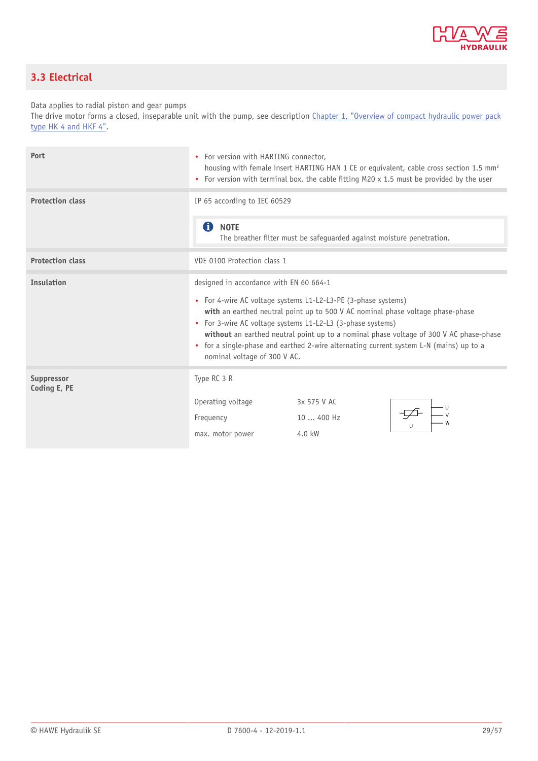

## <span id="page-28-0"></span>**3.3 Electrical**

Data applies to radial piston and gear pumps

The drive motor forms a closed, inseparable unit with the pump, see description [Chapter 1,](#page-3-0) "Overview of compact hydraulic power pack [type](#page-3-0) HK 4 and HKF 4".

| Port                       | • For version with HARTING connector.<br>housing with female insert HARTING HAN 1 CE or equivalent, cable cross section 1.5 mm <sup>2</sup><br>• For version with terminal box, the cable fitting M20 x 1.5 must be provided by the user                                                                                                                                                                                                                                     |  |  |  |  |
|----------------------------|------------------------------------------------------------------------------------------------------------------------------------------------------------------------------------------------------------------------------------------------------------------------------------------------------------------------------------------------------------------------------------------------------------------------------------------------------------------------------|--|--|--|--|
| <b>Protection class</b>    | IP 65 according to IEC 60529<br>61<br><b>NOTE</b><br>The breather filter must be safeguarded against moisture penetration.                                                                                                                                                                                                                                                                                                                                                   |  |  |  |  |
| <b>Protection class</b>    | VDE 0100 Protection class 1                                                                                                                                                                                                                                                                                                                                                                                                                                                  |  |  |  |  |
| <b>Insulation</b>          | designed in accordance with EN 60 664-1<br>• For 4-wire AC voltage systems L1-L2-L3-PE (3-phase systems)<br>with an earthed neutral point up to 500 V AC nominal phase voltage phase-phase<br>• For 3-wire AC voltage systems L1-L2-L3 (3-phase systems)<br>without an earthed neutral point up to a nominal phase voltage of 300 V AC phase-phase<br>• for a single-phase and earthed 2-wire alternating current system L-N (mains) up to a<br>nominal voltage of 300 V AC. |  |  |  |  |
| Suppressor<br>Coding E, PE | Type RC 3 R<br>Operating voltage<br>3x 575 V AC<br>Frequency<br>10  400 Hz<br>4.0 kW<br>max. motor power                                                                                                                                                                                                                                                                                                                                                                     |  |  |  |  |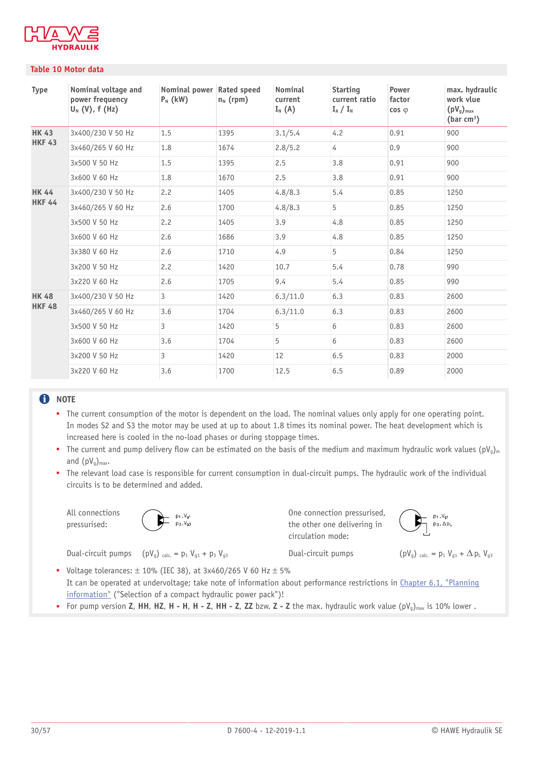

#### **Table 10 Motor data**

| <b>Type</b>   | Nominal voltage and<br>power frequency<br>$U_N$ (V), f (Hz) | Nominal power Rated speed<br>$P_N$ (kW) | $n_N$ (rpm) | Nominal<br>current<br>$I_N(A)$ | <b>Starting</b><br>current ratio<br>$I_A / I_N$ | Power<br>factor<br>$\cos \varphi$ | max. hydraulic<br>work vlue<br>$(pV_g)_{max}$<br>(bar $cm3$ ) |
|---------------|-------------------------------------------------------------|-----------------------------------------|-------------|--------------------------------|-------------------------------------------------|-----------------------------------|---------------------------------------------------------------|
| <b>HK 43</b>  | 3x400/230 V 50 Hz                                           | 1.5                                     | 1395        | 3.1/5.4                        | 4.2                                             | 0.91                              | 900                                                           |
| <b>HKF 43</b> | 3x460/265 V 60 Hz                                           | 1.8                                     | 1674        | 2.8/5.2                        | 4                                               | 0.9                               | 900                                                           |
|               | 3x500 V 50 Hz                                               | 1.5                                     | 1395        | 2.5                            | 3.8                                             | 0.91                              | 900                                                           |
|               | 3x600 V 60 Hz                                               | 1.8                                     | 1670        | 2.5                            | 3.8                                             | 0.91                              | 900                                                           |
| <b>HK 44</b>  | 3x400/230 V 50 Hz                                           | 2.2                                     | 1405        | 4.8/8.3                        | 5.4                                             | 0.85                              | 1250                                                          |
| <b>HKF 44</b> | 3x460/265 V 60 Hz                                           | 2.6                                     | 1700        | 4.8/8.3                        | 5                                               | 0.85                              | 1250                                                          |
|               | 3x500 V 50 Hz                                               | 2.2                                     | 1405        | 3.9                            | 4.8                                             | 0.85                              | 1250                                                          |
|               | 3x600 V 60 Hz                                               | 2.6                                     | 1686        | 3.9                            | 4.8                                             | 0.85                              | 1250                                                          |
|               | 3x380 V 60 Hz                                               | 2.6                                     | 1710        | 4.9                            | 5                                               | 0.84                              | 1250                                                          |
|               | 3x200 V 50 Hz                                               | 2.2                                     | 1420        | 10.7                           | 5.4                                             | 0.78                              | 990                                                           |
|               | 3x220 V 60 Hz                                               | 2.6                                     | 1705        | 9.4                            | 5.4                                             | 0.85                              | 990                                                           |
| <b>HK 48</b>  | 3x400/230 V 50 Hz                                           | $\mathbf{3}$                            | 1420        | 6.3/11.0                       | 6.3                                             | 0.83                              | 2600                                                          |
| <b>HKF 48</b> | 3x460/265 V 60 Hz                                           | 3.6                                     | 1704        | 6.3/11.0                       | 6.3                                             | 0.83                              | 2600                                                          |
|               | 3x500 V 50 Hz                                               | 3                                       | 1420        | 5                              | 6                                               | 0.83                              | 2600                                                          |
|               | 3x600 V 60 Hz                                               | 3.6                                     | 1704        | 5                              | 6                                               | 0.83                              | 2600                                                          |
|               | 3x200 V 50 Hz                                               | $\mathbf{3}$                            | 1420        | 12                             | 6.5                                             | 0.83                              | 2000                                                          |
|               | 3x220 V 60 Hz                                               | 3.6                                     | 1700        | 12.5                           | 6.5                                             | 0.89                              | 2000                                                          |

### **O** NOTE

■ The current consumption of the motor is dependent on the load. The nominal values only apply for one operating point. In modes S2 and S3 the motor may be used at up to about 1.8 times its nominal power. The heat development which is increased here is cooled in the no-load phases or during stoppage times.

**•** The current and pump delivery flow can be estimated on the basis of the medium and maximum hydraulic work values (pV<sub>g</sub>)<sub>m</sub> and  $(pV_q)_{max}$ .

■ The relevant load case is responsible for current consumption in dual-circuit pumps. The hydraulic work of the individual circuits is to be determined and added.

All connections pressurised:



One connection pressurised, the other one delivering in circulation mode:

p<sub>1</sub>,V<sub>g1</sub><br>p<sub>3</sub>, Δp<sub>L</sub>

Dual-circuit pumps  $(pV_g)$  calc. =  $p_1 V_{g1} + p_3 V_{g3}$  Dual-circuit pumps  $(pV_g)$  calc. =  $p_1 V_{g1} + \Delta p_1 V_{g3}$ 

• Voltage tolerances:  $\pm$  10% (IEC 38), at 3x460/265 V 60 Hz  $\pm$  5% It can be operated at undervoltage; take note of information about performance restrictions in [Chapter 6.1,](#page-47-1) "Planning [information"](#page-47-1) ("Selection of a compact hydraulic power pack")!

■ For pump version **Z, HH, HZ, H - H, H - Z, HH - Z, ZZ** bzw. **Z** - **Z** the max. hydraulic work value (pV<sub>g</sub>)<sub>max</sub> is 10% lower.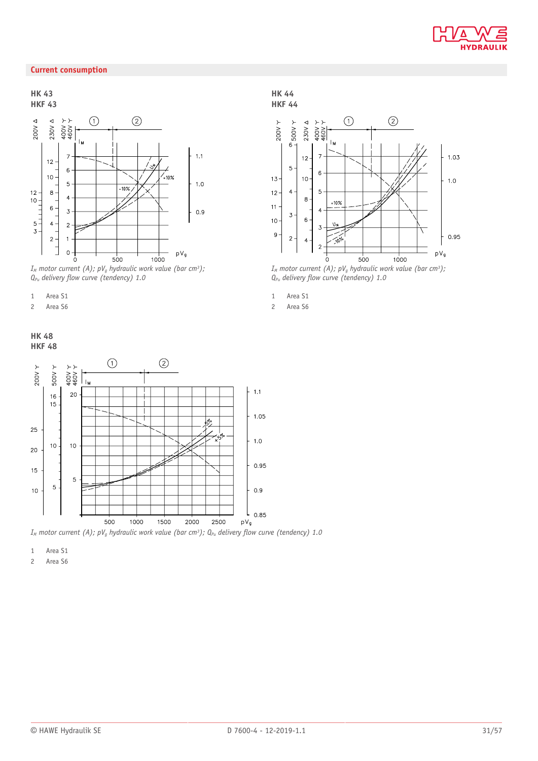

### **Current consumption**

**HK 43 HKF 43**



*IM motor current (A); pVg hydraulic work value (bar cm3);*   $Q_{Pu}$  delivery flow curve (tendency) 1.0

- 1 Area S1
- 2 Area S6





*I<sub>M</sub>* motor current (A);  $pV_q$  hydraulic work value (bar cm<sup>3</sup>); Q<sub>Pu</sub> delivery flow curve (tendency) 1.0

1 Area S1

2 Area S6

**HK 44 HKF 44**



*IM motor current (A); pVg hydraulic work value (bar cm3);*   $Q_{Pu}$  delivery flow curve (tendency) 1.0

- 1 Area S1
- 2 Area S6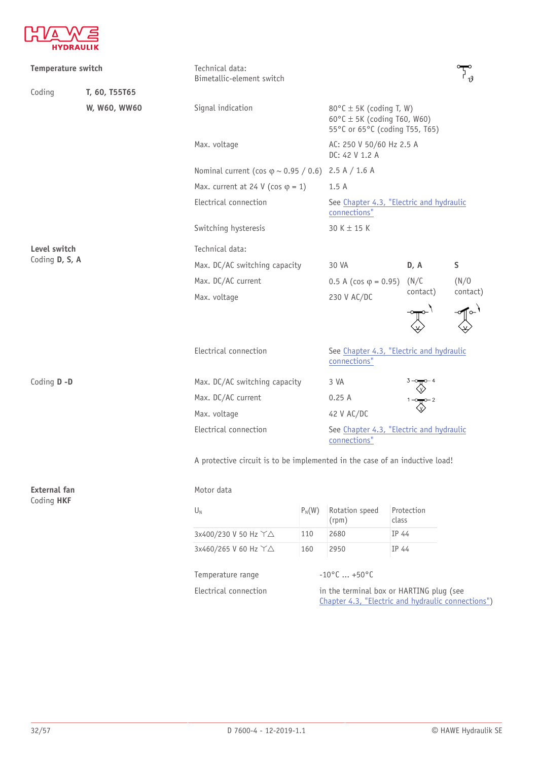

| Temperature switch                |               | Technical data:<br>Bimetallic-element switch                                |                                                                |                                                                                                              |                     |       |  |
|-----------------------------------|---------------|-----------------------------------------------------------------------------|----------------------------------------------------------------|--------------------------------------------------------------------------------------------------------------|---------------------|-------|--|
| Coding                            | T, 60, T55T65 |                                                                             |                                                                |                                                                                                              |                     |       |  |
|                                   | W, W60, WW60  | Signal indication                                                           |                                                                | $80^{\circ}$ C ± 5K (coding T, W)<br>$60^{\circ}$ C ± 5K (coding T60, W60)<br>55°C or 65°C (coding T55, T65) |                     |       |  |
|                                   |               | Max. voltage                                                                |                                                                | AC: 250 V 50/60 Hz 2.5 A<br>DC: 42 V 1.2 A                                                                   |                     |       |  |
|                                   |               |                                                                             | Nominal current (cos $\varphi \sim 0.95 / 0.6$ ) 2.5 A / 1.6 A |                                                                                                              |                     |       |  |
|                                   |               | Max. current at 24 V (cos $\varphi$ = 1)                                    |                                                                |                                                                                                              |                     |       |  |
|                                   |               | Electrical connection                                                       |                                                                | See Chapter 4.3, "Electric and hydraulic<br>connections"                                                     |                     |       |  |
|                                   |               | Switching hysteresis                                                        |                                                                | $30 K \pm 15 K$                                                                                              |                     |       |  |
| Level switch<br>Coding D, S, A    |               | Technical data:                                                             |                                                                |                                                                                                              |                     |       |  |
|                                   |               | Max. DC/AC switching capacity                                               |                                                                | 30 VA                                                                                                        | D, A                | S     |  |
|                                   |               | Max. DC/AC current                                                          |                                                                | 0.5 A (cos $\varphi$ = 0.95)                                                                                 | (N/C)               | (N/0) |  |
|                                   |               | Max. voltage                                                                | 230 V AC/DC                                                    | contact)                                                                                                     | contact)            |       |  |
|                                   |               |                                                                             |                                                                |                                                                                                              |                     |       |  |
|                                   |               | Electrical connection                                                       | See Chapter 4.3, "Electric and hydraulic<br>connections"       |                                                                                                              |                     |       |  |
| Coding D-D                        |               | Max. DC/AC switching capacity                                               | 3 VA                                                           |                                                                                                              |                     |       |  |
|                                   |               | Max. DC/AC current                                                          |                                                                | 0.25A                                                                                                        | $3-\sqrt{2}$        |       |  |
|                                   |               | Max. voltage                                                                |                                                                | 42 V AC/DC                                                                                                   |                     |       |  |
|                                   |               | Electrical connection                                                       |                                                                | See Chapter 4.3, "Electric and hydraulic<br>connections"                                                     |                     |       |  |
|                                   |               | A protective circuit is to be implemented in the case of an inductive load! |                                                                |                                                                                                              |                     |       |  |
| <b>External fan</b><br>Coding HKF |               | Motor data                                                                  |                                                                |                                                                                                              |                     |       |  |
|                                   |               | $\mathsf{U}_{\mathsf{N}}$                                                   | $P_N(W)$                                                       | Rotation speed<br>(rpm)                                                                                      | Protection<br>class |       |  |
|                                   |               | 3x400/230 V 50 Hz 丫△                                                        | 110                                                            | 2680                                                                                                         | IP 44               |       |  |
|                                   |               | 3x460/265 V 60 Hz Y△                                                        | 160                                                            | 2950                                                                                                         | IP 44               |       |  |
|                                   |               | Temperature range                                                           |                                                                | $-10^{\circ}$ C  +50°C                                                                                       |                     |       |  |
|                                   |               | Electrical connection<br>in the terminal box or HARTING plug (see           |                                                                |                                                                                                              |                     |       |  |

Chapter 4.3, "Electric and hydraulic [connections"](#page-35-0))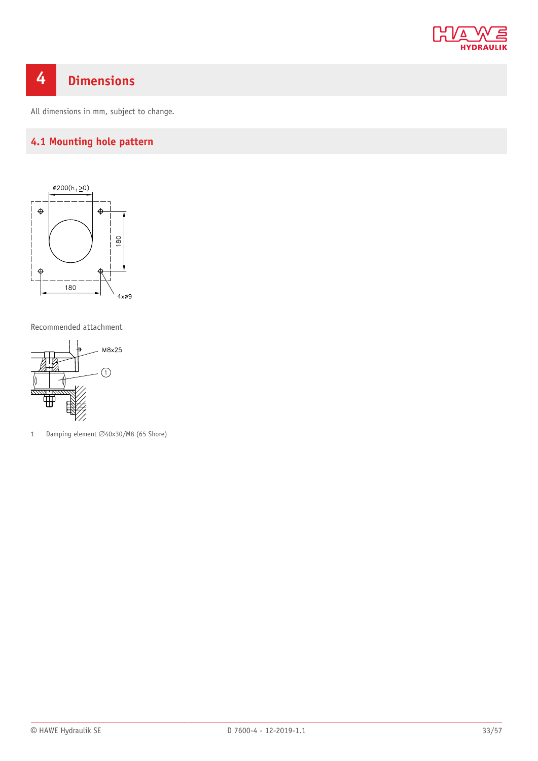

# <span id="page-32-0"></span>**4 Dimensions**

<span id="page-32-1"></span>All dimensions in mm, subject to change.

### **4.1 Mounting hole pattern**



Recommended attachment



1 Damping element  $\varnothing$ 40x30/M8 (65 Shore)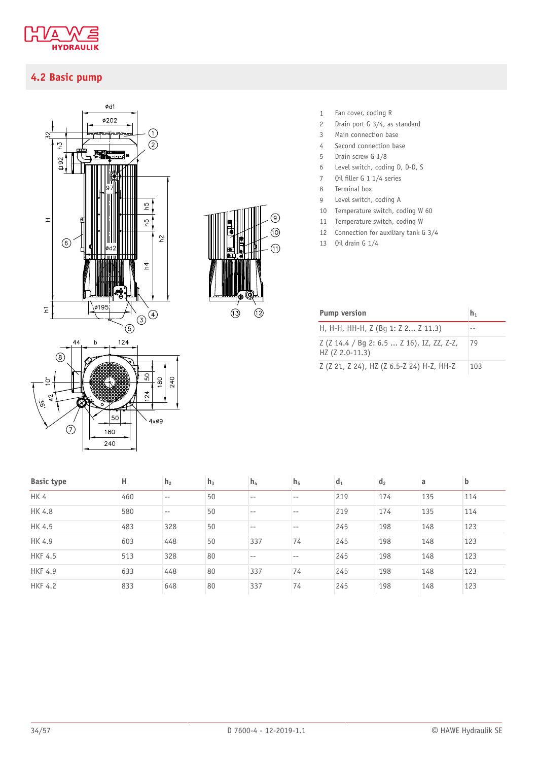

### <span id="page-33-0"></span>**4.2 Basic pump**





- 1 Fan cover, coding R
- 2 Drain port G 3/4, as standard
- 3 Main connection base
- 4 Second connection base
- 5 Drain screw G 1/8
- 6 Level switch, coding D, D-D, S
- 7 Oil filler G 1 1/4 series
- 8 Terminal box
- 9 Level switch, coding A
- 10 Temperature switch, coding W 60
- 11 Temperature switch, coding W
- 12 Connection for auxiliary tank G 3/4
- 13 Oil drain G 1/4

| <b>Pump version</b>                                           | $h_1$ |
|---------------------------------------------------------------|-------|
| H, H-H, HH-H, Z (Bg 1: Z 2 Z 11.3)                            | --    |
| Z (Z 14.4 / Bg 2: 6.5  Z 16), IZ, ZZ, Z-Z,<br>HZ (Z 2.0-11.3) | 79    |
| Z (Z 21, Z 24), HZ (Z 6.5-Z 24) H-Z, HH-Z                     | 103   |

| <b>Basic type</b> | н   | h <sub>2</sub> | h <sub>3</sub> | h <sub>4</sub> | h <sub>5</sub> | $d_1$ | d <sub>2</sub> | a   | $\mathbf b$ |
|-------------------|-----|----------------|----------------|----------------|----------------|-------|----------------|-----|-------------|
| HK 4              | 460 | $- -$          | 50             | $- -$          | $- -$          | 219   | 174            | 135 | 114         |
| HK 4.8            | 580 | $- -$          | 50             | $- -$          | $- -$          | 219   | 174            | 135 | 114         |
| HK 4.5            | 483 | 328            | 50             | $- -$          | $- -$          | 245   | 198            | 148 | 123         |
| HK 4.9            | 603 | 448            | 50             | 337            | 74             | 245   | 198            | 148 | 123         |
| <b>HKF 4.5</b>    | 513 | 328            | 80             | $- -$          |                | 245   | 198            | 148 | 123         |
| <b>HKF 4.9</b>    | 633 | 448            | 80             | 337            | 74             | 245   | 198            | 148 | 123         |
| <b>HKF 4.2</b>    | 833 | 648            | 80             | 337            | 74             | 245   | 198            | 148 | 123         |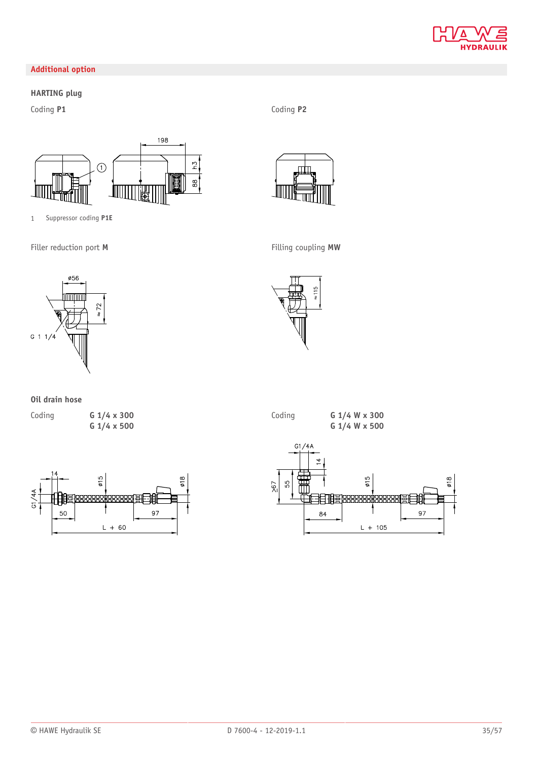

### **Additional option**

### **HARTING plug**

198  $\overline{51}$  $\odot$  $\frac{8}{8}$ 眉

Coding **P1** Coding **P2**





### **Oil drain hose**

Coding **G 1/4 x 300**

**G 1/4 x 500**







1 Suppressor coding **P1E** Filler reduction port **M** Filling coupling **MW** ø56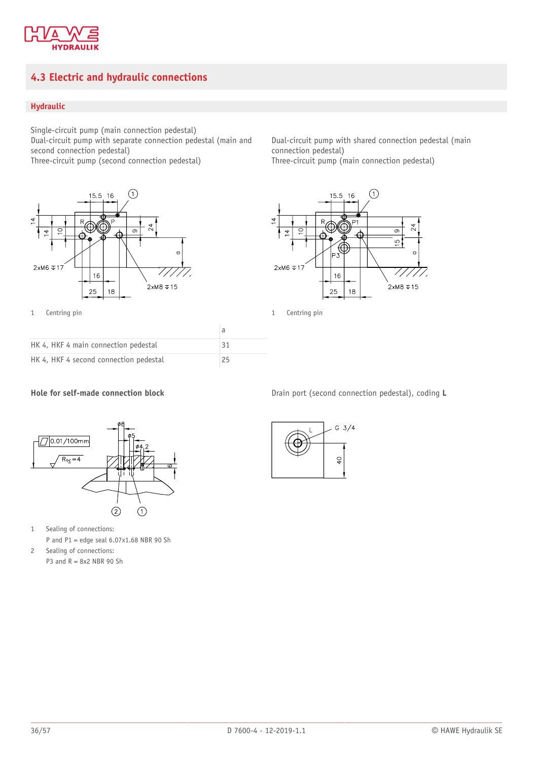

### <span id="page-35-0"></span>**4.3 Electric and hydraulic connections**

### **Hydraulic**

Single-circuit pump (main connection pedestal) Dual-circuit pump with separate connection pedestal (main and second connection pedestal) Three-circuit pump (second connection pedestal)



1 Centring pin 1 Centring pin

| HK 4, HKF 4 main connection pedestal   | 31 |
|----------------------------------------|----|
| HK 4, HKF 4 second connection pedestal | 25 |

Dual-circuit pump with shared connection pedestal (main connection pedestal) Three-circuit pump (main connection pedestal)





1 Sealing of connections:

P and  $P1 =$  edge seal  $6.07 \times 1.68$  NBR 90 Sh

2 Sealing of connections: P3 and  $R = 8x2$  NBR 90 Sh

**Hole for self-made connection block** Drain port (second connection pedestal), coding L

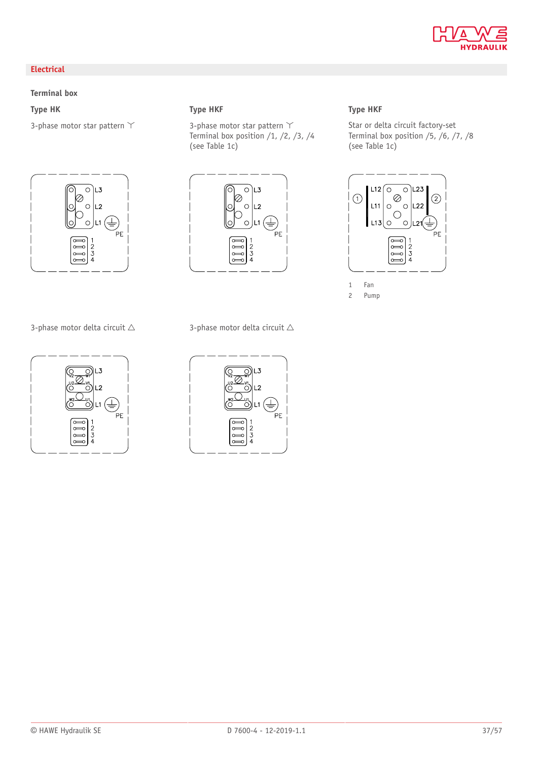

### **Electrical**

### **Terminal box**



3-phase motor delta circuit  $\triangle$  3-phase motor delta circuit  $\triangle$ 



3-phase motor star pattern  $Y$  3-phase motor star pattern  $Y$ Terminal box position  $/1$ ,  $/2$ ,  $/3$ ,  $/4$ (see Table 1c)



### **Type HK Type HKF Type HKF**

Star or delta circuit factory-set Terminal box position  $/5$ ,  $/6$ ,  $/7$ ,  $/8$ (see Table 1c)



2 Pump

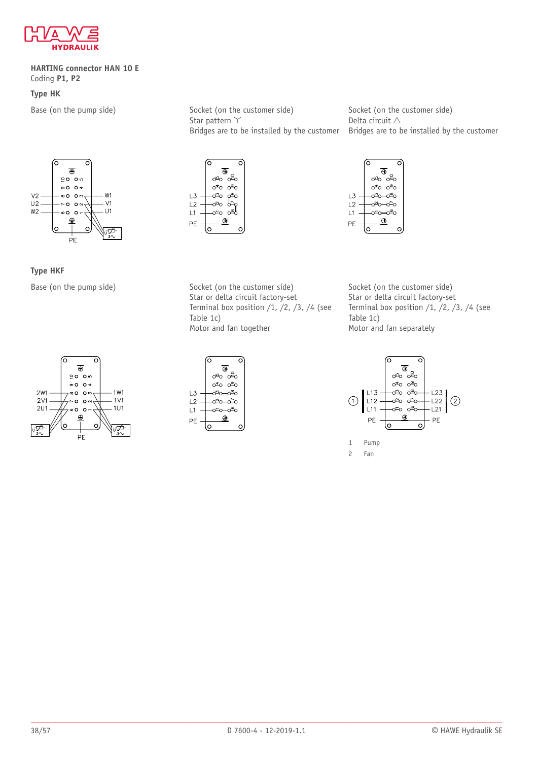

#### **HARTING connector HAN 10 E** Coding **P1, P2**

### **Type HK**



**Type HKF**

Base (on the pump side) Socket (on the customer side) Star pattern  $\Upsilon$ Bridges are to be installed by the customer



Bridges are to be installed by the customer ੋ  $\overline{\oplus}$ 

Socket (on the customer side)



Delta circuit  $\triangle$ 

Base (on the pump side) Socket (on the customer side) Star or delta circuit factory-set Terminal box position  $/1$ ,  $/2$ ,  $/3$ ,  $/4$  (see Table 1c) Motor and fan together

Socket (on the customer side) Star or delta circuit factory-set Terminal box position  $/1$ ,  $/2$ ,  $/3$ ,  $/4$  (see Table 1c) Motor and fan separately







<sup>2</sup> Fan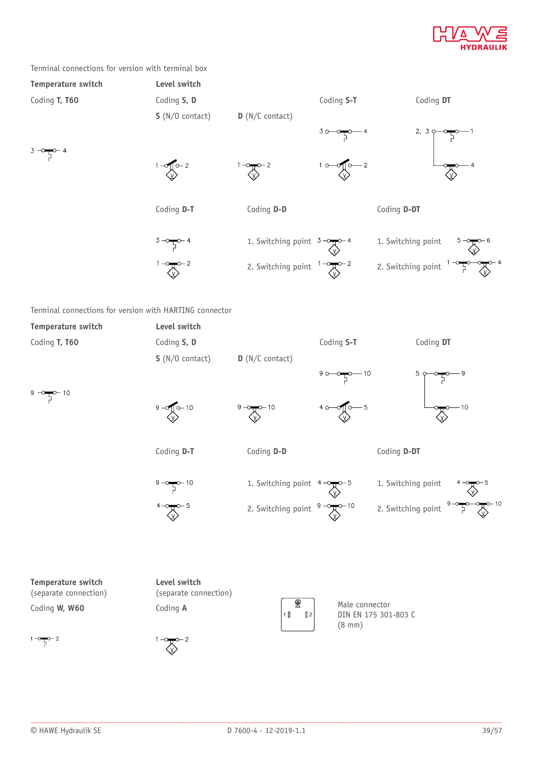

#### Terminal connections for version with terminal box

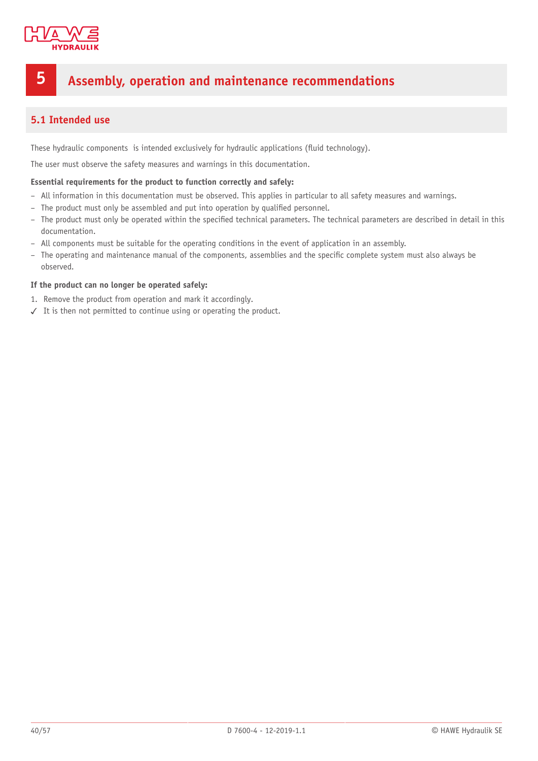

# <span id="page-39-0"></span>**5 Assembly, operation and maintenance recommendations**

### <span id="page-39-1"></span>**5.1 Intended use**

These hydraulic components is intended exclusively for hydraulic applications (fluid technology).

The user must observe the safety measures and warnings in this documentation.

#### **Essential requirements for the product to function correctly and safely:**

- All information in this documentation must be observed. This applies in particular to all safety measures and warnings.
- The product must only be assembled and put into operation by qualified personnel.
- The product must only be operated within the specified technical parameters. The technical parameters are described in detail in this documentation.
- All components must be suitable for the operating conditions in the event of application in an assembly.
- The operating and maintenance manual of the components, assemblies and the specific complete system must also always be observed.

#### **If the product can no longer be operated safely:**

- 1. Remove the product from operation and mark it accordingly.
- ✓ It is then not permitted to continue using or operating the product.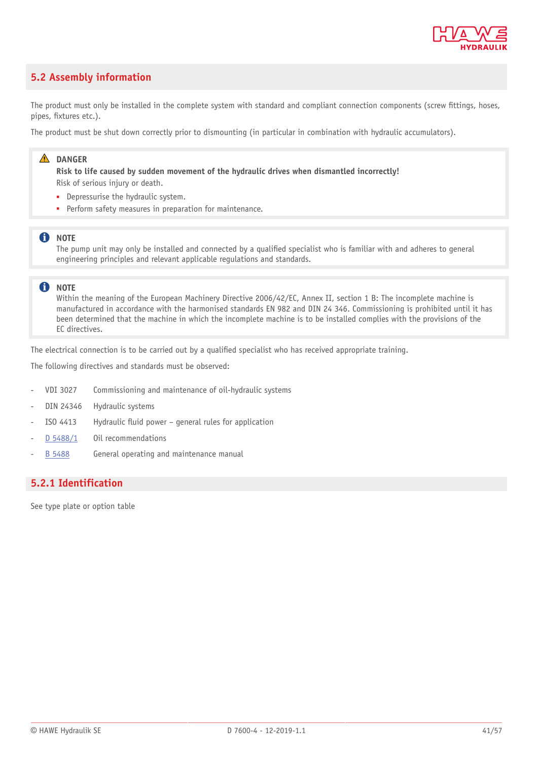

### <span id="page-40-0"></span>**5.2 Assembly information**

The product must only be installed in the complete system with standard and compliant connection components (screw fittings, hoses, pipes, fixtures etc.).

The product must be shut down correctly prior to dismounting (in particular in combination with hydraulic accumulators).

### **A** DANGER

**Risk to life caused by sudden movement of the hydraulic drives when dismantled incorrectly!** Risk of serious injury or death.

- Depressurise the hydraulic system.
- Perform safety measures in preparation for maintenance.

### **f** NOTE

The pump unit may only be installed and connected by a qualified specialist who is familiar with and adheres to general engineering principles and relevant applicable regulations and standards.

#### **A** NOTE

Within the meaning of the European Machinery Directive 2006/42/EC, Annex II, section 1 B: The incomplete machine is manufactured in accordance with the harmonised standards EN 982 and DIN 24 346. Commissioning is prohibited until it has been determined that the machine in which the incomplete machine is to be installed complies with the provisions of the EC directives.

The electrical connection is to be carried out by a qualified specialist who has received appropriate training.

The following directives and standards must be observed:

- VDI 3027 Commissioning and maintenance of oil-hydraulic systems
- DIN 24346 Hydraulic systems
- ISO 4413 Hydraulic fluid power general rules for application
- [D 5488/1](http://www.hawe.de/fileadmin/content/typeman/catalog/Pdf/5/4/D54881-en.pdf) Oil recommendations
- [B 5488](http://www.hawe.de/fileadmin/content/typeman/catalog/Pdf/5/4/B5488-en.pdf) General operating and maintenance manual

### <span id="page-40-1"></span>**5.2.1 Identification**

See type plate or option table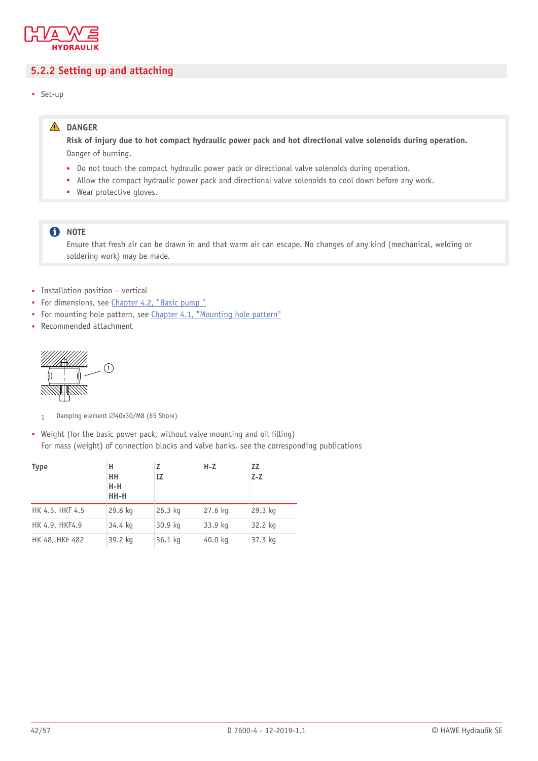

### <span id="page-41-0"></span>**5.2.2 Setting up and attaching**

• Set-up

### **DANGER**

Risk of injury due to hot compact hydraulic power pack and hot directional valve solenoids during operation. Danger of burning.

- Do not touch the compact hydraulic power pack or directional valve solenoids during operation.
- Allow the compact hydraulic power pack and directional valve solenoids to cool down before any work.
- Wear protective gloves.

### **f** NOTE

Ensure that fresh air can be drawn in and that warm air can escape. No changes of any kind (mechanical, welding or soldering work) may be made.

- Installation position vertical
- For dimensions, see [Chapter 4.2,](#page-33-0) "Basic pump "
- For mounting hole pattern, see [Chapter 4.1,](#page-32-1) "Mounting hole pattern"
- Recommended attachment



- 1 Damping element Ø40x30/M8 (65 Shore)
- Weight (for the basic power pack, without valve mounting and oil filling) For mass (weight) of connection blocks and valve banks, see the corresponding publications

| <b>Type</b>     | н<br>нн<br>$H-H$<br>HH-H | z<br>IZ   | $H-Z$   | <b>ZZ</b><br>$Z-Z$ |
|-----------------|--------------------------|-----------|---------|--------------------|
| HK 4.5, HKF 4.5 | 29.8 kg                  | $26.3$ kg | 27.6 kg | 29.3 kg            |
| HK 4.9, HKF4.9  | 34.4 kg                  | 30.9 kg   | 33.9 kg | 32.2 kg            |
| HK 48, HKF 482  | 39.2 kg                  | 36.1 kg   | 40.0 kg | 37.3 kg            |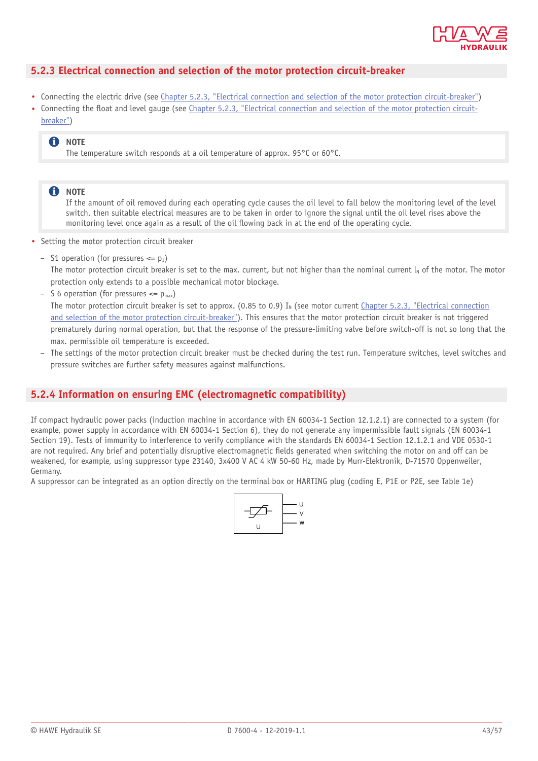

### <span id="page-42-0"></span>**5.2.3 Electrical connection and selection of the motor protection circuit-breaker**

- Connecting the electric drive (see Chapter 5.2.3, "Electrical connection and selection of the motor protection [circuit-breaker"](#page-42-0))
- Connecting the float and level gauge (see [Chapter 5.2.3,](#page-42-0) "Electrical connection and selection of the motor protection circuit[breaker"](#page-42-0))

### **f** NOTE

The temperature switch responds at a oil temperature of approx. 95°C or 60°C.

#### **n** NOTE

If the amount of oil removed during each operating cycle causes the oil level to fall below the monitoring level of the level switch, then suitable electrical measures are to be taken in order to ignore the signal until the oil level rises above the monitoring level once again as a result of the oil flowing back in at the end of the operating cycle.

- Setting the motor protection circuit breaker
	- S1 operation (for pressures  $\leq p_1$ ) The motor protection circuit breaker is set to the max. current, but not higher than the nominal current  $I_N$  of the motor. The motor protection only extends to a possible mechanical motor blockage.
	- S 6 operation (for pressures  $\leq p_{\text{max}}$ ) The motor protection circuit breaker is set to approx. (0.85 to 0.9)  $I_N$  (see motor current [Chapter 5.2.3,](#page-42-0) "Electrical connection and selection of the motor protection [circuit-breaker"\)](#page-42-0). This ensures that the motor protection circuit breaker is not triggered prematurely during normal operation, but that the response of the pressure-limiting valve before switch-off is not so long that the max. permissible oil temperature is exceeded.
	- The settings of the motor protection circuit breaker must be checked during the test run. Temperature switches, level switches and pressure switches are further safety measures against malfunctions.

### <span id="page-42-1"></span>**5.2.4 Information on ensuring EMC (electromagnetic compatibility)**

If compact hydraulic power packs (induction machine in accordance with EN 60034-1 Section 12.1.2.1) are connected to a system (for example, power supply in accordance with EN 60034-1 Section 6), they do not generate any impermissible fault signals (EN 60034-1 Section 19). Tests of immunity to interference to verify compliance with the standards EN 60034-1 Section 12.1.2.1 and VDE 0530-1 are not required. Any brief and potentially disruptive electromagnetic fields generated when switching the motor on and off can be weakened, for example, using suppressor type 23140, 3x400 V AC 4 kW 50-60 Hz, made by Murr-Elektronik, D-71570 Oppenweiler, Germany.

A suppressor can be integrated as an option directly on the terminal box or HARTING plug (coding E, P1E or P2E, see Table 1e)

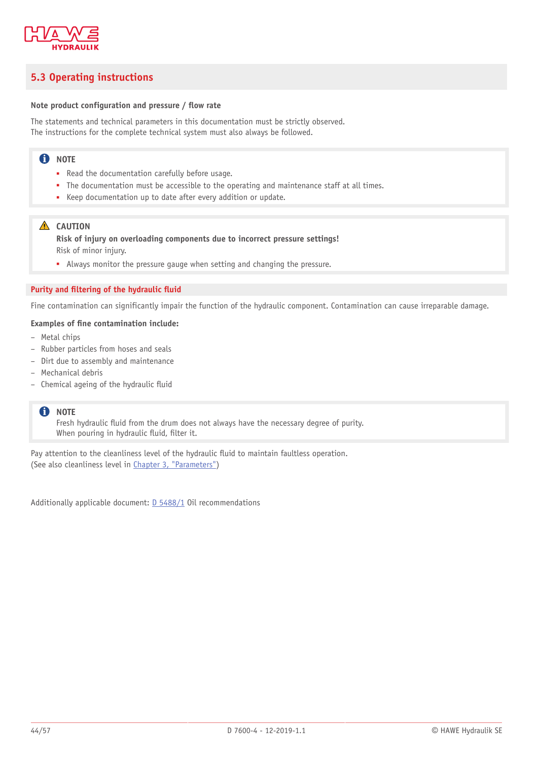

### <span id="page-43-0"></span>**5.3 Operating instructions**

#### **Note product configuration and pressure / ow rate**

The statements and technical parameters in this documentation must be strictly observed. The instructions for the complete technical system must also always be followed.

### **n** NOTE

- Read the documentation carefully before usage.
- The documentation must be accessible to the operating and maintenance staff at all times.
- Keep documentation up to date after every addition or update.

#### **A** CAUTION

**Risk of injury on overloading components due to incorrect pressure settings!** Risk of minor injury.

■ Always monitor the pressure gauge when setting and changing the pressure.

#### **Purity and ltering of the hydraulic uid**

Fine contamination can significantly impair the function of the hydraulic component. Contamination can cause irreparable damage.

#### **Examples of ne contamination include:**

- Metal chips
- Rubber particles from hoses and seals
- Dirt due to assembly and maintenance
- Mechanical debris
- $-$  Chemical ageing of the hydraulic fluid

#### **f** NOTE

Fresh hydraulic fluid from the drum does not always have the necessary degree of purity. When pouring in hydraulic fluid, filter it.

Pay attention to the cleanliness level of the hydraulic fluid to maintain faultless operation. (See also cleanliness level in Chapter 3, ["Parameters"](#page-25-0))

Additionally applicable document: [D 5488/1](http://downloads.hawe.com/5/4/D54881-en.pdf) Oil recommendations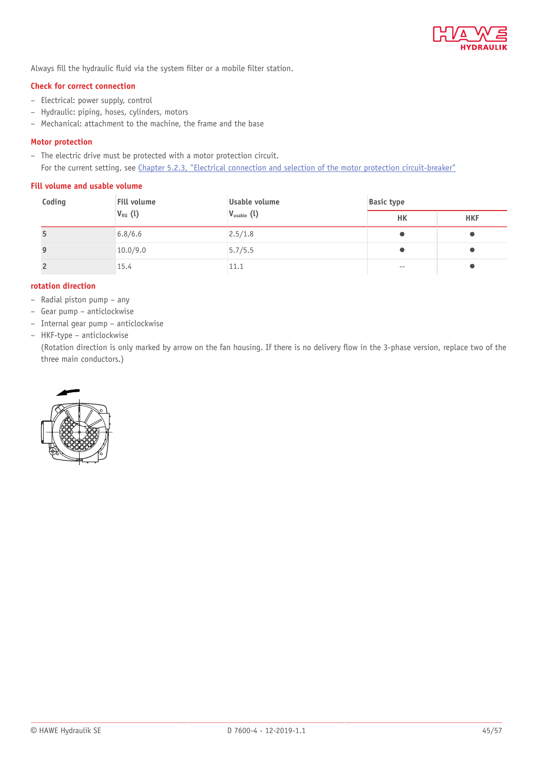

Always fill the hydraulic fluid via the system filter or a mobile filter station.

#### **Check for correct connection**

- Electrical: power supply, control
- Hydraulic: piping, hoses, cylinders, motors
- Mechanical: attachment to the machine, the frame and the base

#### **Motor protection**

– The electric drive must be protected with a motor protection circuit. For the current setting, see Chapter 5.2.3, "Electrical connection and selection of the motor protection [circuit-breaker"](#page-42-0)

### **Fill volume and usable volume**

| Coding         | Fill volume<br>$V_{fill}$ (l) | Usable volume<br>$V_{\text{usable}}(l)$ | <b>Basic type</b> |            |
|----------------|-------------------------------|-----------------------------------------|-------------------|------------|
|                |                               |                                         | HК                | <b>HKF</b> |
| 5              | 6.8/6.6                       | 2.5/1.8                                 |                   |            |
| 9              | 10.0/9.0                      | 5.7/5.5                                 |                   |            |
| $\overline{2}$ | 15.4                          | 11.1                                    | $- -$             |            |

### **rotation direction**

- Radial piston pump any
- Gear pump anticlockwise
- Internal gear pump anticlockwise
- HKF-type anticlockwise

(Rotation direction is only marked by arrow on the fan housing. If there is no delivery flow in the 3-phase version, replace two of the three main conductors.)

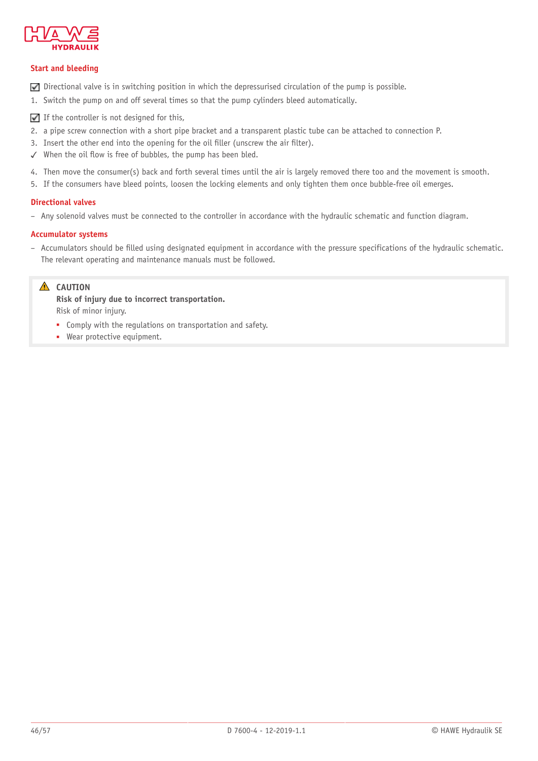

### **Start and bleeding**

- $\nabla$  Directional valve is in switching position in which the depressurised circulation of the pump is possible.
- 1. Switch the pump on and off several times so that the pump cylinders bleed automatically.
- $\blacksquare$  If the controller is not designed for this,
- 2. a pipe screw connection with a short pipe bracket and a transparent plastic tube can be attached to connection P.
- 3. Insert the other end into the opening for the oil filler (unscrew the air filter).
- $\checkmark$  When the oil flow is free of bubbles, the pump has been bled.
- 4. Then move the consumer(s) back and forth several times until the air is largely removed there too and the movement is smooth.
- 5. If the consumers have bleed points, loosen the locking elements and only tighten them once bubble-free oil emerges.

### **Directional valves**

– Any solenoid valves must be connected to the controller in accordance with the hydraulic schematic and function diagram.

### **Accumulator systems**

– Accumulators should be lled using designated equipment in accordance with the pressure specifications of the hydraulic schematic. The relevant operating and maintenance manuals must be followed.

### **A** CAUTION

**Risk of injury due to incorrect transportation.** Risk of minor injury.

- Comply with the regulations on transportation and safety.
- Wear protective equipment.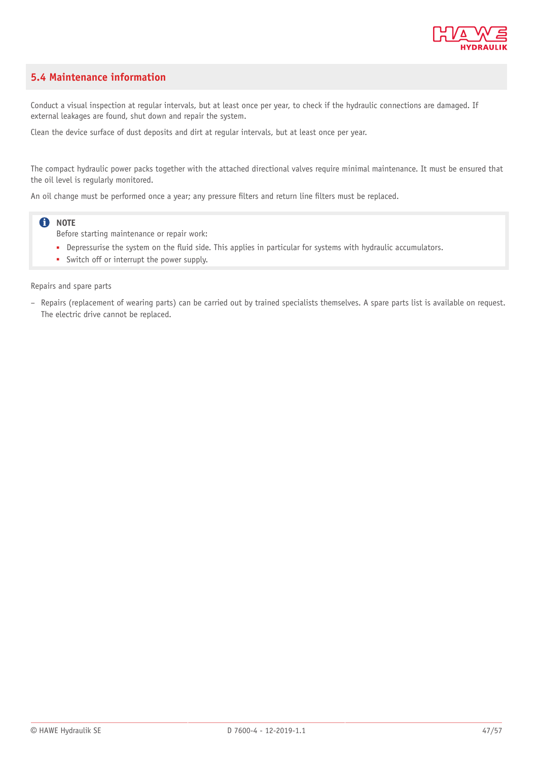

### <span id="page-46-0"></span>**5.4 Maintenance information**

Conduct a visual inspection at regular intervals, but at least once per year, to check if the hydraulic connections are damaged. If external leakages are found, shut down and repair the system.

Clean the device surface of dust deposits and dirt at regular intervals, but at least once per year.

The compact hydraulic power packs together with the attached directional valves require minimal maintenance. It must be ensured that the oil level is regularly monitored.

An oil change must be performed once a year; any pressure filters and return line filters must be replaced.

### **O** NOTE

Before starting maintenance or repair work:

- Depressurise the system on the fluid side. This applies in particular for systems with hydraulic accumulators.
- Switch off or interrupt the power supply.

Repairs and spare parts

– Repairs (replacement of wearing parts) can be carried out by trained specialists themselves. A spare parts list is available on request. The electric drive cannot be replaced.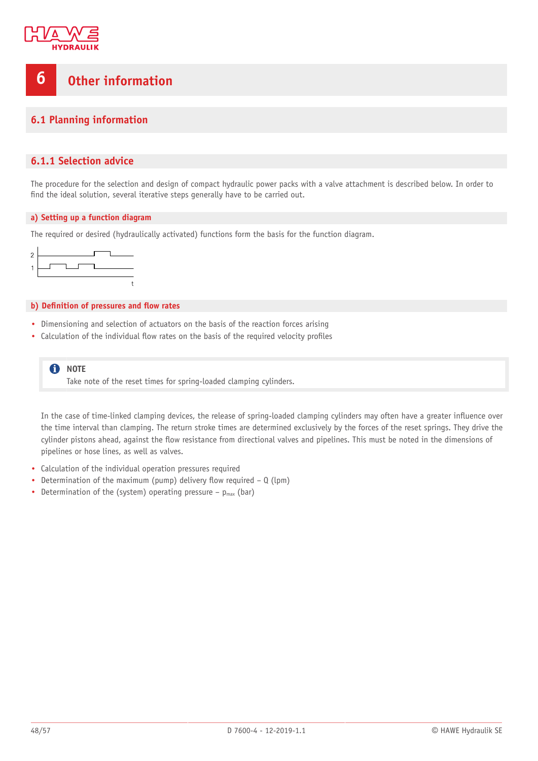

# <span id="page-47-0"></span>**6 Other information**

### <span id="page-47-1"></span>**6.1 Planning information**

### <span id="page-47-2"></span>**6.1.1 Selection advice**

The procedure for the selection and design of compact hydraulic power packs with a valve attachment is described below. In order to find the ideal solution, several iterative steps generally have to be carried out.

#### **a) Setting up a function diagram**

The required or desired (hydraulically activated) functions form the basis for the function diagram.



#### **b)** Definition of pressures and flow rates

- Dimensioning and selection of actuators on the basis of the reaction forces arising
- Calculation of the individual flow rates on the basis of the required velocity profiles

**f** NOTE Take note of the reset times for spring-loaded clamping cylinders.

In the case of time-linked clamping devices, the release of spring-loaded clamping cylinders may often have a greater influence over the time interval than clamping. The return stroke times are determined exclusively by the forces of the reset springs. They drive the cylinder pistons ahead, against the flow resistance from directional valves and pipelines. This must be noted in the dimensions of pipelines or hose lines, as well as valves.

- Calculation of the individual operation pressures required
- Determination of the maximum (pump) delivery flow required  $Q$  (lpm)
- Determination of the (system) operating pressure  $p_{max}$  (bar)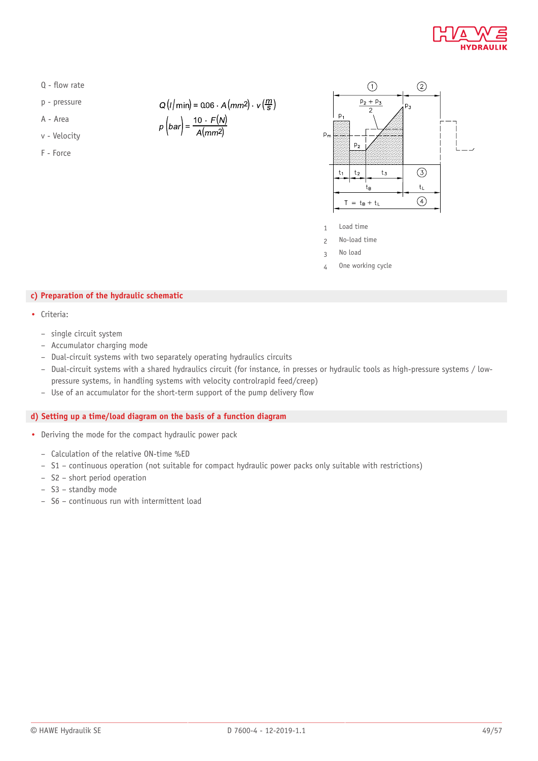

- $Q$  flow rate
- p pressure
- A Area
- v Velocity
- F Force

 $Q(l/min) = 0.06 \cdot A(mm2) \cdot v(\frac{m}{5})$ 

$$
p\left(bar\right) = \frac{10 \cdot F(N)}{A(mm^2)}
$$



- 1 Load time
- 2 No-load time
- 3 No load
- 4 One working cycle

### **c) Preparation of the hydraulic schematic**

- Criteria:
	- single circuit system
	- Accumulator charging mode
	- Dual-circuit systems with two separately operating hydraulics circuits
	- Dual-circuit systems with a shared hydraulics circuit (for instance, in presses or hydraulic tools as high-pressure systems / lowpressure systems, in handling systems with velocity controlrapid feed/creep)
	- $-$  Use of an accumulator for the short-term support of the pump delivery flow

### **d) Setting up a time/load diagram on the basis of a function diagram**

- Deriving the mode for the compact hydraulic power pack
	- Calculation of the relative ON-time %ED
	- S1 continuous operation (not suitable for compact hydraulic power packs only suitable with restrictions)
	- S2 short period operation
	- S3 standby mode
	- S6 continuous run with intermittent load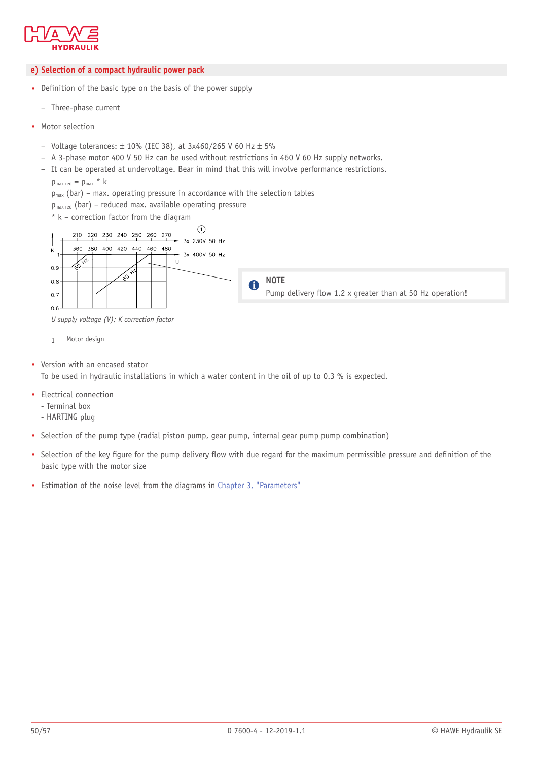

#### **e) Selection of a compact hydraulic power pack**

- Definition of the basic type on the basis of the power supply
	- Three-phase current
- Motor selection
	- Voltage tolerances:  $\pm$  10% (IEC 38), at 3x460/265 V 60 Hz  $\pm$  5%
	- A 3-phase motor 400 V 50 Hz can be used without restrictions in 460 V 60 Hz supply networks.
	- It can be operated at undervoltage. Bear in mind that this will involve performance restrictions.
		- $p_{\text{max red}} = p_{\text{max}} * k$
		- $p_{max}$  (bar) max. operating pressure in accordance with the selection tables
		- $p_{max}$  red (bar) reduced max. available operating pressure
		- \* k correction factor from the diagram



*U supply voltage (V); K correction factor*

- 1 Motor design
- Version with an encased stator To be used in hydraulic installations in which a water content in the oil of up to 0.3 % is expected.
- Electrical connection
	- Terminal box
	- HARTING plug
- Selection of the pump type (radial piston pump, gear pump, internal gear pump pump combination)
- Selection of the key figure for the pump delivery flow with due regard for the maximum permissible pressure and definition of the basic type with the motor size
- Estimation of the noise level from the diagrams in Chapter 3, ["Parameters"](#page-25-0)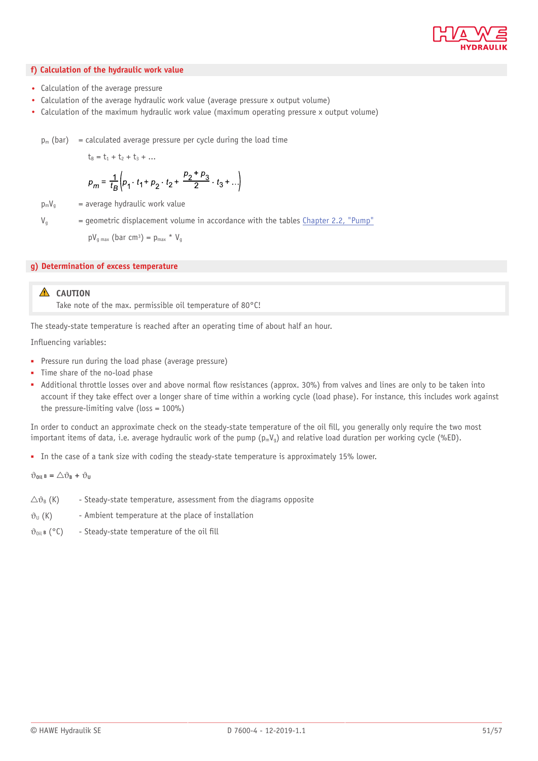

#### **f) Calculation of the hydraulic work value**

- Calculation of the average pressure
- Calculation of the average hydraulic work value (average pressure x output volume)
- Calculation of the maximum hydraulic work value (maximum operating pressure x output volume)

 $p_m$  (bar) = calculated average pressure per cycle during the load time

 $t_B = t_1 + t_2 + t_3 + ...$ 

$$
p_m = \frac{1}{t_B} \left( p_1 \cdot t_1 + p_2 \cdot t_2 + \frac{p_2 + p_3}{2} \cdot t_3 + \ldots \right)
$$

 $p_mV_q$  = average hydraulic work value

 $V<sub>q</sub>$  = geometric displacement volume in accordance with the tables [Chapter 2.2, "Pump"](#page-8-0)

 $pV_{g \text{max}}$  (bar cm<sup>3</sup>) =  $p_{\text{max}} * V_{g}$ 

#### **g) Determination of excess temperature**

### **A** CAUTION

Take note of the max. permissible oil temperature of 80°C!

The steady-state temperature is reached after an operating time of about half an hour.

Influencing variables:

- Pressure run during the load phase (average pressure)
- Time share of the no-load phase
- Additional throttle losses over and above normal flow resistances (approx. 30%) from valves and lines are only to be taken into account if they take effect over a longer share of time within a working cycle (load phase). For instance, this includes work against the pressure-limiting valve (loss  $= 100\%$ )

In order to conduct an approximate check on the steady-state temperature of the oil fill, you generally only require the two most important items of data, i.e. average hydraulic work of the pump  $(p_mV_q)$  and relative load duration per working cycle (%ED).

■ In the case of a tank size with coding the steady-state temperature is approximately 15% lower.

 $\vartheta_{0i}$ **B** =  $\triangle \vartheta_{B} + \vartheta_{U}$ 

- $\Delta\vartheta_B$  (K) Steady-state temperature, assessment from the diagrams opposite
- $\vartheta$ <sub>U</sub> (K) Ambient temperature at the place of installation
- $\vartheta_{0i}$  **B** (°C) Steady-state temperature of the oil fill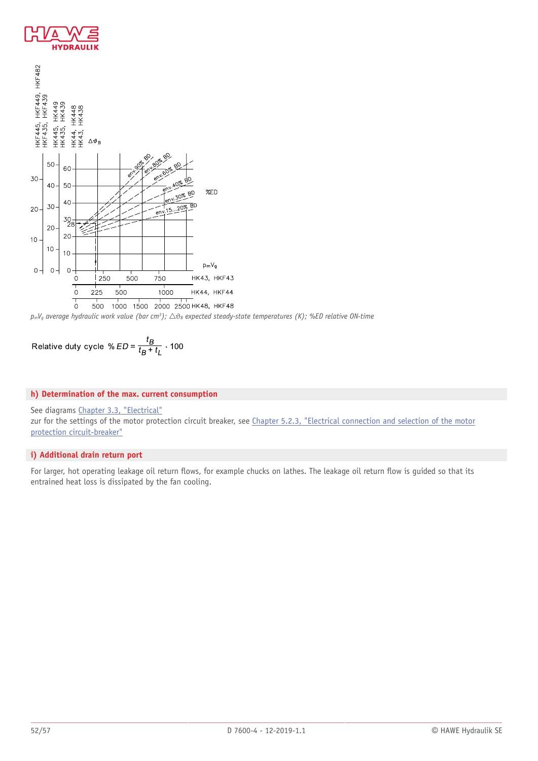





Relative duty cycle % 
$$
ED = \frac{t_B}{t_B + t_L}
$$
 · 100

### **h) Determination of the max. current consumption**

### See diagrams [Chapter 3.3, "Electrical"](#page-28-0)

zur for the settings of the motor protection circuit breaker, see [Chapter 5.2.3,](#page-42-0) "Electrical connection and selection of the motor protection [circuit-breaker"](#page-42-0)

### **i) Additional drain return port**

For larger, hot operating leakage oil return flows, for example chucks on lathes. The leakage oil return flow is guided so that its entrained heat loss is dissipated by the fan cooling.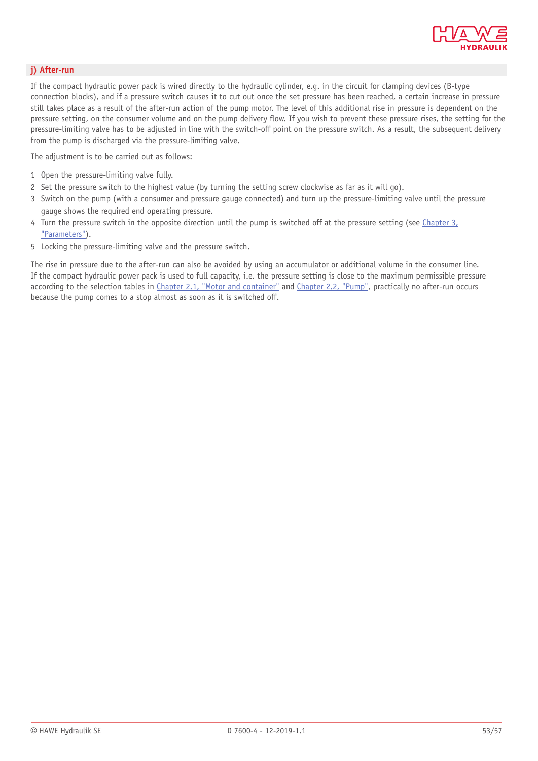

#### **j) After-run**

If the compact hydraulic power pack is wired directly to the hydraulic cylinder, e.g. in the circuit for clamping devices (B-type connection blocks), and if a pressure switch causes it to cut out once the set pressure has been reached, a certain increase in pressure still takes place as a result of the after-run action of the pump motor. The level of this additional rise in pressure is dependent on the pressure setting, on the consumer volume and on the pump delivery flow. If you wish to prevent these pressure rises, the setting for the pressure-limiting valve has to be adjusted in line with the switch-off point on the pressure switch. As a result, the subsequent delivery from the pump is discharged via the pressure-limiting valve.

The adjustment is to be carried out as follows:

- 1 Open the pressure-limiting valve fully.
- 2 Set the pressure switch to the highest value (by turning the setting screw clockwise as far as it will go).
- 3 Switch on the pump (with a consumer and pressure gauge connected) and turn up the pressure-limiting valve until the pressure gauge shows the required end operating pressure.
- 4 Turn the pressure switch in the opposite direction until the pump is switched off at the pressure setting (see [Chapter 3,](#page-25-0) ["Parameters"\)](#page-25-0).
- 5 Locking the pressure-limiting valve and the pressure switch.

The rise in pressure due to the after-run can also be avoided by using an accumulator or additional volume in the consumer line. If the compact hydraulic power pack is used to full capacity, i.e. the pressure setting is close to the maximum permissible pressure according to the selection tables in [Chapter 2.1,](#page-4-1) "Motor and container" and [Chapter 2.2, "Pump",](#page-8-0) practically no after-run occurs because the pump comes to a stop almost as soon as it is switched off.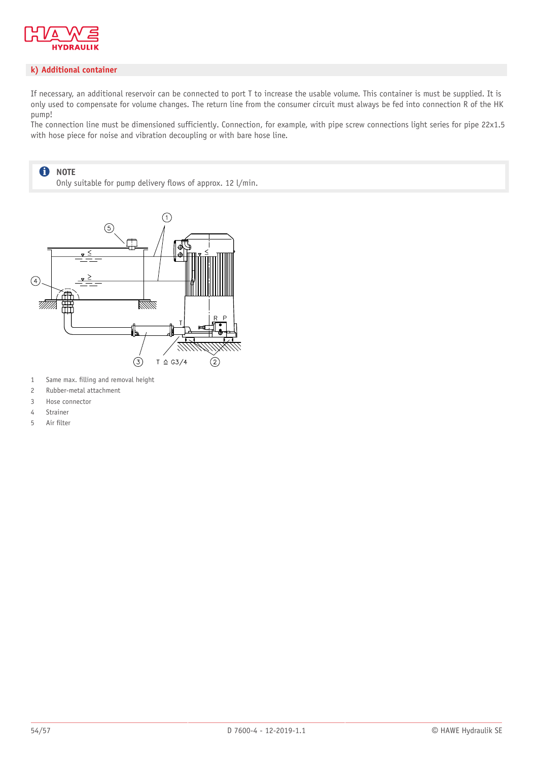

#### **k) Additional container**

If necessary, an additional reservoir can be connected to port T to increase the usable volume. This container is must be supplied. It is only used to compensate for volume changes. The return line from the consumer circuit must always be fed into connection R of the HK pump!

The connection line must be dimensioned sufficiently. Connection, for example, with pipe screw connections light series for pipe 22x1.5 with hose piece for noise and vibration decoupling or with bare hose line.

#### $\mathbf 0$ **NOTE** Only suitable for pump delivery flows of approx. 12 l/min.



- 1 Same max. filling and removal height
- 2 Rubber-metal attachment
- 3 Hose connector
- 4 Strainer
- 5 Air filter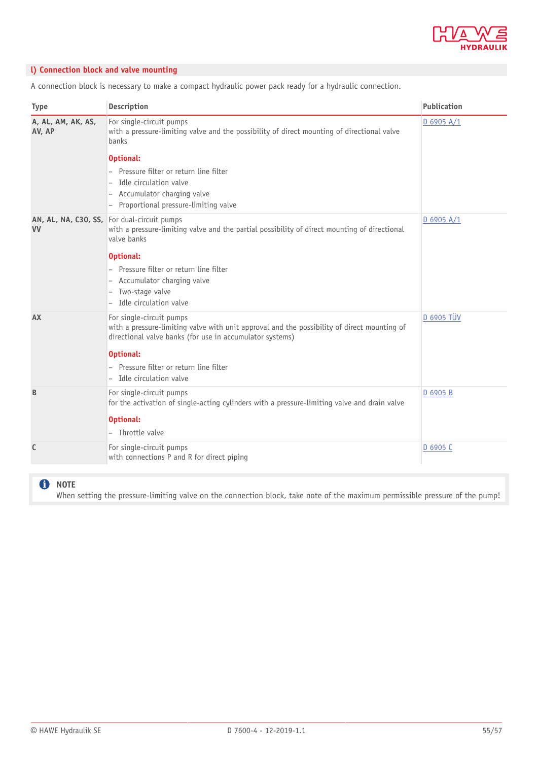

### **l) Connection block and valve mounting**

A connection block is necessary to make a compact hydraulic power pack ready for a hydraulic connection.

| <b>Type</b>                  | <b>Description</b>                                                                                                                                                                                                                                                         | Publication       |
|------------------------------|----------------------------------------------------------------------------------------------------------------------------------------------------------------------------------------------------------------------------------------------------------------------------|-------------------|
| A, AL, AM, AK, AS,<br>AV, AP | For single-circuit pumps<br>with a pressure-limiting valve and the possibility of direct mounting of directional valve<br>banks                                                                                                                                            | $D$ 6905 A/1      |
|                              | <b>Optional:</b><br>Pressure filter or return line filter<br>Idle circulation valve<br>Accumulator charging valve<br>Proportional pressure-limiting valve                                                                                                                  |                   |
| <b>VV</b>                    | AN, AL, NA, C30, SS, For dual-circuit pumps<br>with a pressure-limiting valve and the partial possibility of direct mounting of directional<br>valve banks                                                                                                                 | D 6905 A/1        |
|                              | <b>Optional:</b><br>Pressure filter or return line filter<br>Accumulator charging valve<br>Two-stage valve<br>Idle circulation valve                                                                                                                                       |                   |
| AX                           | For single-circuit pumps<br>with a pressure-limiting valve with unit approval and the possibility of direct mounting of<br>directional valve banks (for use in accumulator systems)<br><b>Optional:</b><br>Pressure filter or return line filter<br>Idle circulation valve | <b>D 6905 TÜV</b> |
| B                            | For single-circuit pumps<br>for the activation of single-acting cylinders with a pressure-limiting valve and drain valve<br><b>Optional:</b><br>- Throttle valve                                                                                                           | D 6905 B          |
| C                            | For single-circuit pumps<br>with connections P and R for direct piping                                                                                                                                                                                                     | D 6905 C          |

### **O** NOTE

When setting the pressure-limiting valve on the connection block, take note of the maximum permissible pressure of the pump!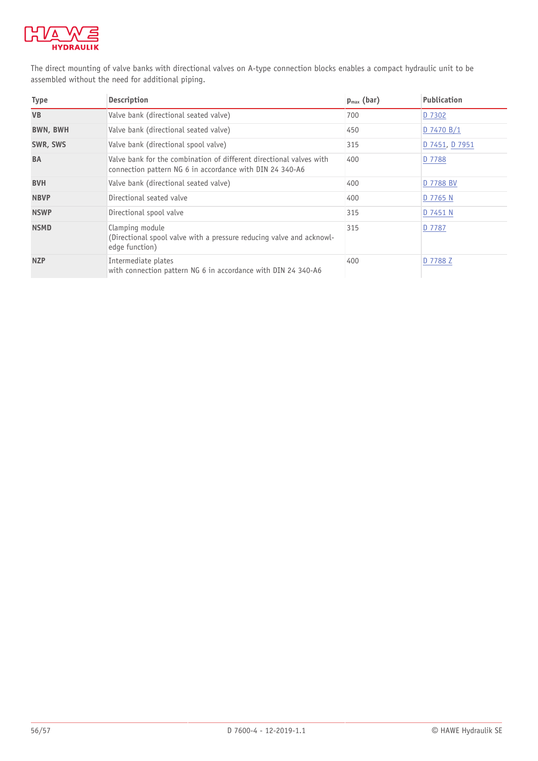

The direct mounting of valve banks with directional valves on A-type connection blocks enables a compact hydraulic unit to be assembled without the need for additional piping.

| <b>Type</b>     | <b>Description</b>                                                                                                              | $p_{max}$ (bar) | <b>Publication</b> |
|-----------------|---------------------------------------------------------------------------------------------------------------------------------|-----------------|--------------------|
| <b>VB</b>       | Valve bank (directional seated valve)                                                                                           | 700             | D 7302             |
| <b>BWN, BWH</b> | Valve bank (directional seated valve)                                                                                           | 450             | D 7470 B/1         |
| SWR, SWS        | Valve bank (directional spool valve)                                                                                            | 315             | D 7451, D 7951     |
| <b>BA</b>       | Valve bank for the combination of different directional valves with<br>connection pattern NG 6 in accordance with DIN 24 340-A6 | 400             | D 7788             |
| <b>BVH</b>      | Valve bank (directional seated valve)                                                                                           | 400             | D 7788 BV          |
| <b>NBVP</b>     | Directional seated valve                                                                                                        | 400             | D 7765 N           |
| <b>NSWP</b>     | Directional spool valve                                                                                                         | 315             | D 7451 N           |
| <b>NSMD</b>     | Clamping module<br>(Directional spool valve with a pressure reducing valve and acknowl-<br>edge function)                       | 315             | D 7787             |
| <b>NZP</b>      | Intermediate plates<br>with connection pattern NG 6 in accordance with DIN 24 340-A6                                            | 400             | D 7788 Z           |